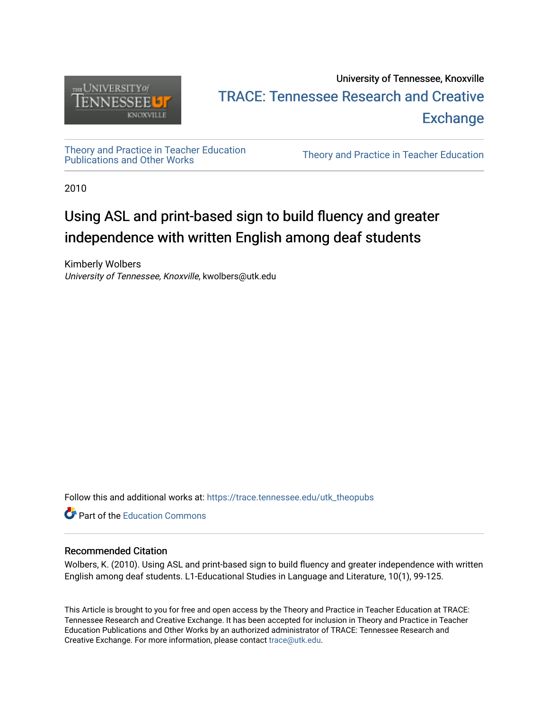

# University of Tennessee, Knoxville TRACE: T[ennessee Research and Cr](https://trace.tennessee.edu/)eative **Exchange**

[Theory and Practice in Teacher Education](https://trace.tennessee.edu/utk_theopubs)

Theory and Practice in Teacher Education

2010

# Using ASL and print-based sign to build fluency and greater independence with written English among deaf students

Kimberly Wolbers University of Tennessee, Knoxville, kwolbers@utk.edu

Follow this and additional works at: [https://trace.tennessee.edu/utk\\_theopubs](https://trace.tennessee.edu/utk_theopubs?utm_source=trace.tennessee.edu%2Futk_theopubs%2F6&utm_medium=PDF&utm_campaign=PDFCoverPages)

**Part of the [Education Commons](https://network.bepress.com/hgg/discipline/784?utm_source=trace.tennessee.edu%2Futk_theopubs%2F6&utm_medium=PDF&utm_campaign=PDFCoverPages)** 

#### Recommended Citation

Wolbers, K. (2010). Using ASL and print-based sign to build fluency and greater independence with written English among deaf students. L1-Educational Studies in Language and Literature, 10(1), 99-125.

This Article is brought to you for free and open access by the Theory and Practice in Teacher Education at TRACE: Tennessee Research and Creative Exchange. It has been accepted for inclusion in Theory and Practice in Teacher Education Publications and Other Works by an authorized administrator of TRACE: Tennessee Research and Creative Exchange. For more information, please contact [trace@utk.edu](mailto:trace@utk.edu).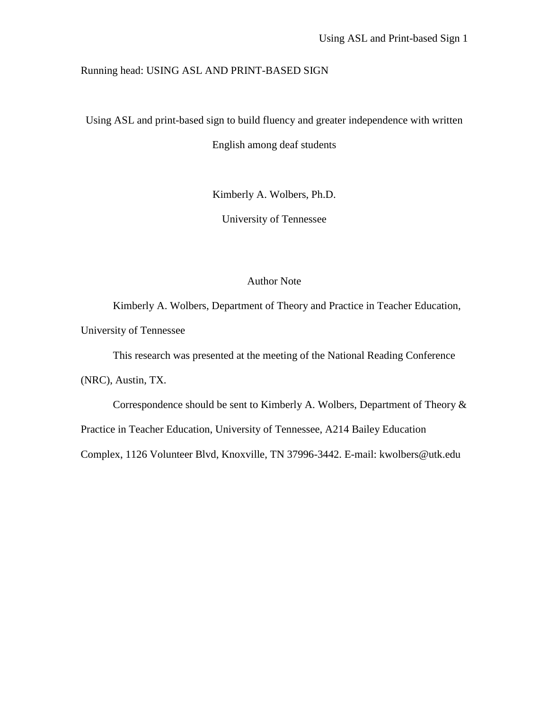#### Running head: USING ASL AND PRINT-BASED SIGN

Using ASL and print-based sign to build fluency and greater independence with written

English among deaf students

Kimberly A. Wolbers, Ph.D.

University of Tennessee

#### Author Note

Kimberly A. Wolbers, Department of Theory and Practice in Teacher Education, University of Tennessee

This research was presented at the meeting of the National Reading Conference

(NRC), Austin, TX.

Correspondence should be sent to Kimberly A. Wolbers, Department of Theory &

Practice in Teacher Education, University of Tennessee, A214 Bailey Education

Complex, 1126 Volunteer Blvd, Knoxville, TN 37996-3442. E-mail: kwolbers@utk.edu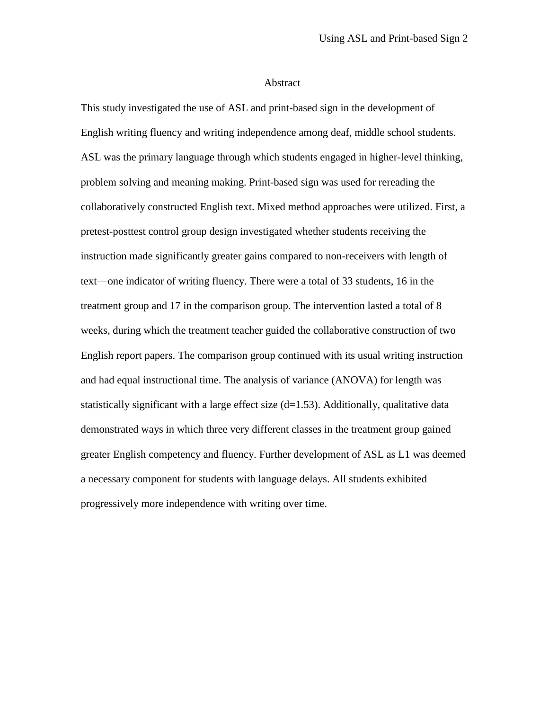#### Abstract

This study investigated the use of ASL and print-based sign in the development of English writing fluency and writing independence among deaf, middle school students. ASL was the primary language through which students engaged in higher-level thinking, problem solving and meaning making. Print-based sign was used for rereading the collaboratively constructed English text. Mixed method approaches were utilized. First, a pretest-posttest control group design investigated whether students receiving the instruction made significantly greater gains compared to non-receivers with length of text—one indicator of writing fluency. There were a total of 33 students, 16 in the treatment group and 17 in the comparison group. The intervention lasted a total of 8 weeks, during which the treatment teacher guided the collaborative construction of two English report papers. The comparison group continued with its usual writing instruction and had equal instructional time. The analysis of variance (ANOVA) for length was statistically significant with a large effect size  $(d=1.53)$ . Additionally, qualitative data demonstrated ways in which three very different classes in the treatment group gained greater English competency and fluency. Further development of ASL as L1 was deemed a necessary component for students with language delays. All students exhibited progressively more independence with writing over time.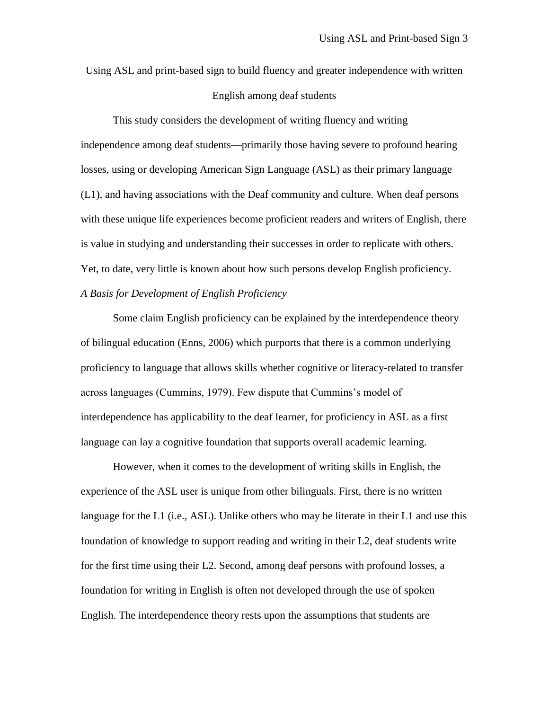Using ASL and print-based sign to build fluency and greater independence with written English among deaf students

This study considers the development of writing fluency and writing independence among deaf students—primarily those having severe to profound hearing losses, using or developing American Sign Language (ASL) as their primary language (L1), and having associations with the Deaf community and culture. When deaf persons with these unique life experiences become proficient readers and writers of English, there is value in studying and understanding their successes in order to replicate with others. Yet, to date, very little is known about how such persons develop English proficiency. *A Basis for Development of English Proficiency*

Some claim English proficiency can be explained by the interdependence theory of bilingual education (Enns, 2006) which purports that there is a common underlying proficiency to language that allows skills whether cognitive or literacy-related to transfer across languages (Cummins, 1979). Few dispute that Cummins's model of interdependence has applicability to the deaf learner, for proficiency in ASL as a first language can lay a cognitive foundation that supports overall academic learning.

However, when it comes to the development of writing skills in English, the experience of the ASL user is unique from other bilinguals. First, there is no written language for the L1 (i.e., ASL). Unlike others who may be literate in their L1 and use this foundation of knowledge to support reading and writing in their L2, deaf students write for the first time using their L2. Second, among deaf persons with profound losses, a foundation for writing in English is often not developed through the use of spoken English. The interdependence theory rests upon the assumptions that students are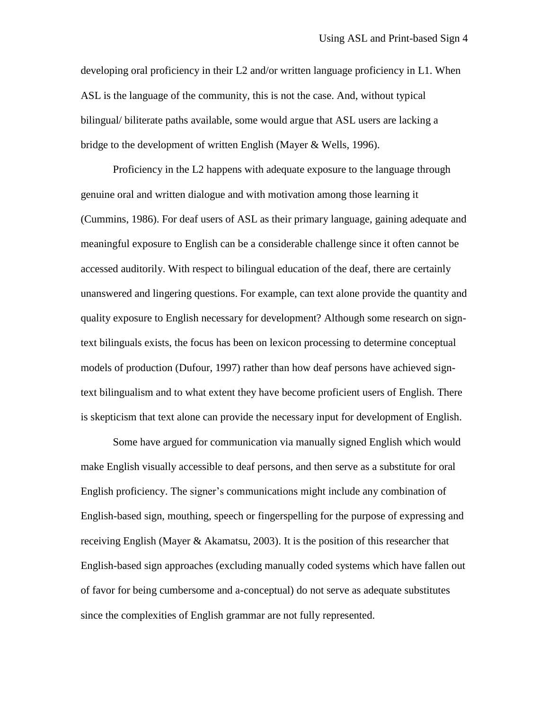developing oral proficiency in their L2 and/or written language proficiency in L1. When ASL is the language of the community, this is not the case. And, without typical bilingual/ biliterate paths available, some would argue that ASL users are lacking a bridge to the development of written English (Mayer & Wells, 1996).

Proficiency in the L2 happens with adequate exposure to the language through genuine oral and written dialogue and with motivation among those learning it (Cummins, 1986). For deaf users of ASL as their primary language, gaining adequate and meaningful exposure to English can be a considerable challenge since it often cannot be accessed auditorily. With respect to bilingual education of the deaf, there are certainly unanswered and lingering questions. For example, can text alone provide the quantity and quality exposure to English necessary for development? Although some research on signtext bilinguals exists, the focus has been on lexicon processing to determine conceptual models of production (Dufour, 1997) rather than how deaf persons have achieved signtext bilingualism and to what extent they have become proficient users of English. There is skepticism that text alone can provide the necessary input for development of English.

Some have argued for communication via manually signed English which would make English visually accessible to deaf persons, and then serve as a substitute for oral English proficiency. The signer's communications might include any combination of English-based sign, mouthing, speech or fingerspelling for the purpose of expressing and receiving English (Mayer & Akamatsu, 2003). It is the position of this researcher that English-based sign approaches (excluding manually coded systems which have fallen out of favor for being cumbersome and a-conceptual) do not serve as adequate substitutes since the complexities of English grammar are not fully represented.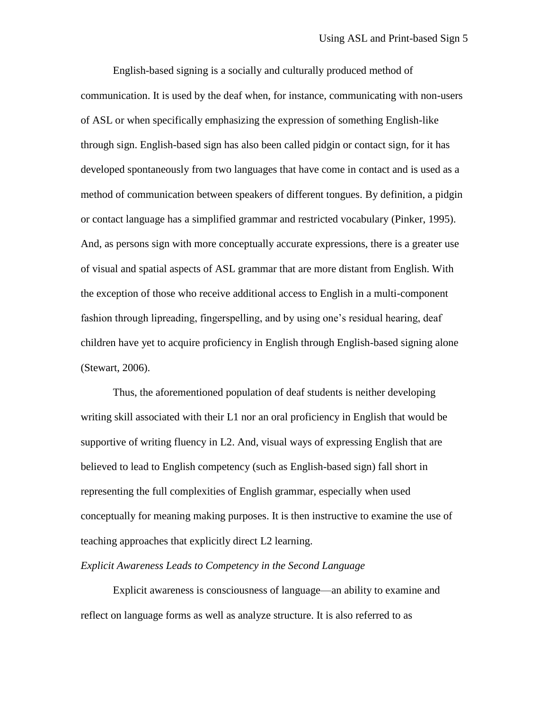English-based signing is a socially and culturally produced method of communication. It is used by the deaf when, for instance, communicating with non-users of ASL or when specifically emphasizing the expression of something English-like through sign. English-based sign has also been called pidgin or contact sign, for it has developed spontaneously from two languages that have come in contact and is used as a method of communication between speakers of different tongues. By definition, a pidgin or contact language has a simplified grammar and restricted vocabulary (Pinker, 1995). And, as persons sign with more conceptually accurate expressions, there is a greater use of visual and spatial aspects of ASL grammar that are more distant from English. With the exception of those who receive additional access to English in a multi-component fashion through lipreading, fingerspelling, and by using one's residual hearing, deaf children have yet to acquire proficiency in English through English-based signing alone (Stewart, 2006).

Thus, the aforementioned population of deaf students is neither developing writing skill associated with their L1 nor an oral proficiency in English that would be supportive of writing fluency in L2. And, visual ways of expressing English that are believed to lead to English competency (such as English-based sign) fall short in representing the full complexities of English grammar, especially when used conceptually for meaning making purposes. It is then instructive to examine the use of teaching approaches that explicitly direct L2 learning.

#### *Explicit Awareness Leads to Competency in the Second Language*

Explicit awareness is consciousness of language—an ability to examine and reflect on language forms as well as analyze structure. It is also referred to as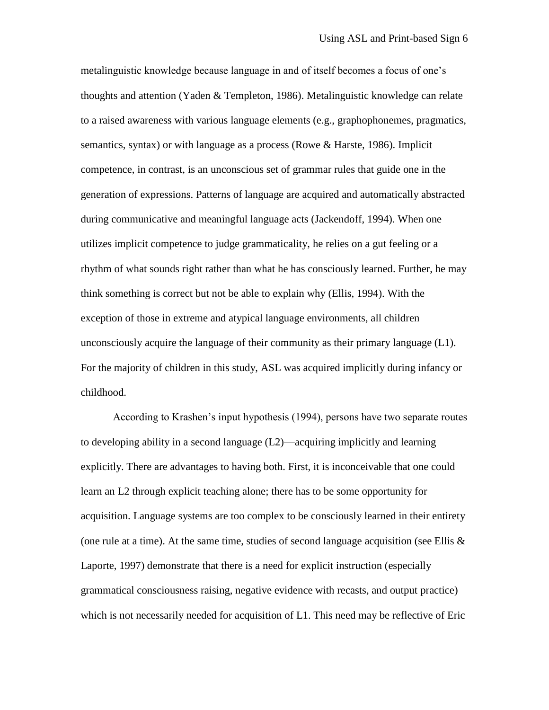metalinguistic knowledge because language in and of itself becomes a focus of one's thoughts and attention (Yaden & Templeton, 1986). Metalinguistic knowledge can relate to a raised awareness with various language elements (e.g., graphophonemes, pragmatics, semantics, syntax) or with language as a process (Rowe & Harste, 1986). Implicit competence, in contrast, is an unconscious set of grammar rules that guide one in the generation of expressions. Patterns of language are acquired and automatically abstracted during communicative and meaningful language acts (Jackendoff, 1994). When one utilizes implicit competence to judge grammaticality, he relies on a gut feeling or a rhythm of what sounds right rather than what he has consciously learned. Further, he may think something is correct but not be able to explain why (Ellis, 1994). With the exception of those in extreme and atypical language environments, all children unconsciously acquire the language of their community as their primary language  $(L1)$ . For the majority of children in this study, ASL was acquired implicitly during infancy or childhood.

According to Krashen's input hypothesis (1994), persons have two separate routes to developing ability in a second language (L2)—acquiring implicitly and learning explicitly. There are advantages to having both. First, it is inconceivable that one could learn an L2 through explicit teaching alone; there has to be some opportunity for acquisition. Language systems are too complex to be consciously learned in their entirety (one rule at a time). At the same time, studies of second language acquisition (see Ellis  $\&$ Laporte, 1997) demonstrate that there is a need for explicit instruction (especially grammatical consciousness raising, negative evidence with recasts, and output practice) which is not necessarily needed for acquisition of L1. This need may be reflective of Eric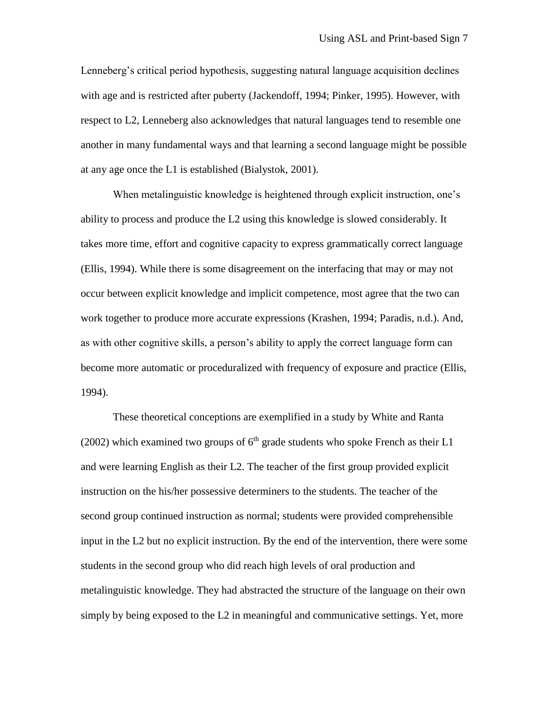Lenneberg's critical period hypothesis, suggesting natural language acquisition declines with age and is restricted after puberty (Jackendoff, 1994; Pinker, 1995). However, with respect to L2, Lenneberg also acknowledges that natural languages tend to resemble one another in many fundamental ways and that learning a second language might be possible at any age once the L1 is established (Bialystok, 2001).

When metalinguistic knowledge is heightened through explicit instruction, one's ability to process and produce the L2 using this knowledge is slowed considerably. It takes more time, effort and cognitive capacity to express grammatically correct language (Ellis, 1994). While there is some disagreement on the interfacing that may or may not occur between explicit knowledge and implicit competence, most agree that the two can work together to produce more accurate expressions (Krashen, 1994; Paradis, n.d.). And, as with other cognitive skills, a person's ability to apply the correct language form can become more automatic or proceduralized with frequency of exposure and practice (Ellis, 1994).

These theoretical conceptions are exemplified in a study by White and Ranta (2002) which examined two groups of  $6<sup>th</sup>$  grade students who spoke French as their L1 and were learning English as their L2. The teacher of the first group provided explicit instruction on the his/her possessive determiners to the students. The teacher of the second group continued instruction as normal; students were provided comprehensible input in the L2 but no explicit instruction. By the end of the intervention, there were some students in the second group who did reach high levels of oral production and metalinguistic knowledge. They had abstracted the structure of the language on their own simply by being exposed to the L2 in meaningful and communicative settings. Yet, more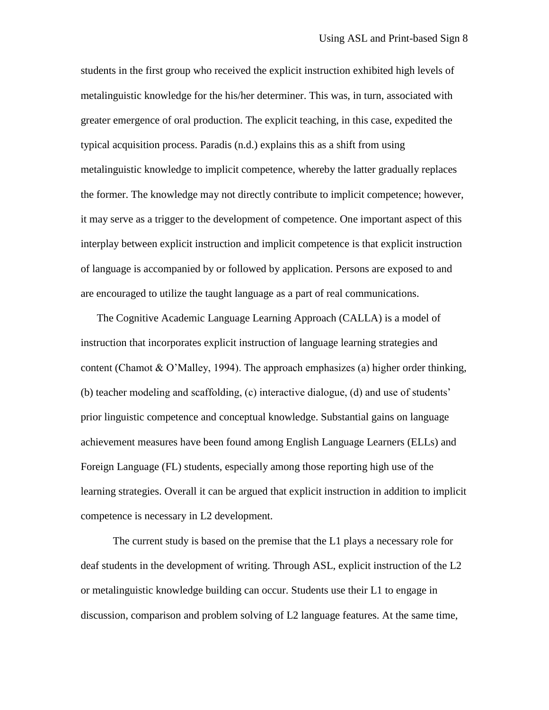students in the first group who received the explicit instruction exhibited high levels of metalinguistic knowledge for the his/her determiner. This was, in turn, associated with greater emergence of oral production. The explicit teaching, in this case, expedited the typical acquisition process. Paradis (n.d.) explains this as a shift from using metalinguistic knowledge to implicit competence, whereby the latter gradually replaces the former. The knowledge may not directly contribute to implicit competence; however, it may serve as a trigger to the development of competence. One important aspect of this interplay between explicit instruction and implicit competence is that explicit instruction of language is accompanied by or followed by application. Persons are exposed to and are encouraged to utilize the taught language as a part of real communications.

The Cognitive Academic Language Learning Approach (CALLA) is a model of instruction that incorporates explicit instruction of language learning strategies and content (Chamot & O'Malley, 1994). The approach emphasizes (a) higher order thinking, (b) teacher modeling and scaffolding, (c) interactive dialogue, (d) and use of students' prior linguistic competence and conceptual knowledge. Substantial gains on language achievement measures have been found among English Language Learners (ELLs) and Foreign Language (FL) students, especially among those reporting high use of the learning strategies. Overall it can be argued that explicit instruction in addition to implicit competence is necessary in L2 development.

The current study is based on the premise that the L1 plays a necessary role for deaf students in the development of writing. Through ASL, explicit instruction of the L2 or metalinguistic knowledge building can occur. Students use their L1 to engage in discussion, comparison and problem solving of L2 language features. At the same time,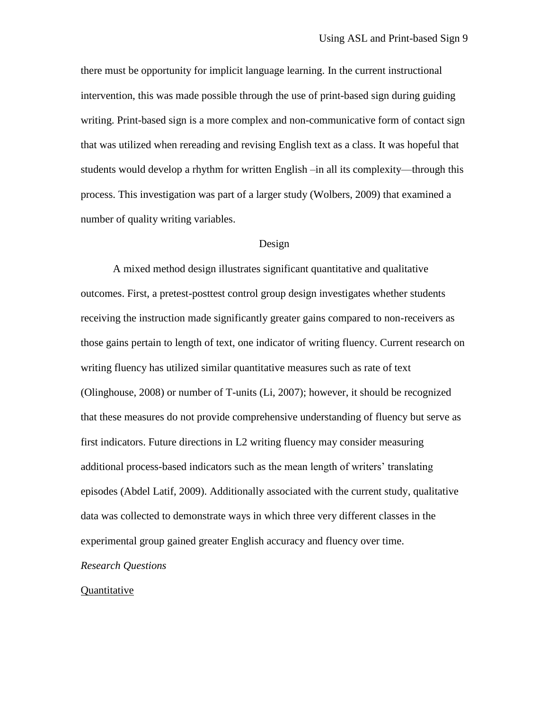there must be opportunity for implicit language learning. In the current instructional intervention, this was made possible through the use of print-based sign during guiding writing. Print-based sign is a more complex and non-communicative form of contact sign that was utilized when rereading and revising English text as a class. It was hopeful that students would develop a rhythm for written English –in all its complexity—through this process. This investigation was part of a larger study (Wolbers, 2009) that examined a number of quality writing variables.

#### Design

A mixed method design illustrates significant quantitative and qualitative outcomes. First, a pretest-posttest control group design investigates whether students receiving the instruction made significantly greater gains compared to non-receivers as those gains pertain to length of text, one indicator of writing fluency. Current research on writing fluency has utilized similar quantitative measures such as rate of text (Olinghouse, 2008) or number of T-units (Li, 2007); however, it should be recognized that these measures do not provide comprehensive understanding of fluency but serve as first indicators. Future directions in L2 writing fluency may consider measuring additional process-based indicators such as the mean length of writers' translating episodes (Abdel Latif, 2009). Additionally associated with the current study, qualitative data was collected to demonstrate ways in which three very different classes in the experimental group gained greater English accuracy and fluency over time.

#### *Research Questions*

#### Quantitative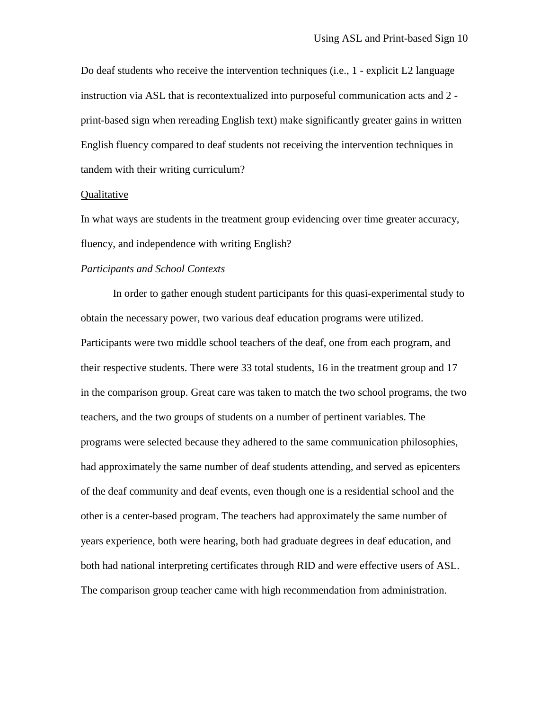Do deaf students who receive the intervention techniques (i.e., 1 - explicit L2 language instruction via ASL that is recontextualized into purposeful communication acts and 2 print-based sign when rereading English text) make significantly greater gains in written English fluency compared to deaf students not receiving the intervention techniques in tandem with their writing curriculum?

#### Qualitative

In what ways are students in the treatment group evidencing over time greater accuracy, fluency, and independence with writing English?

#### *Participants and School Contexts*

In order to gather enough student participants for this quasi-experimental study to obtain the necessary power, two various deaf education programs were utilized. Participants were two middle school teachers of the deaf, one from each program, and their respective students. There were 33 total students, 16 in the treatment group and 17 in the comparison group. Great care was taken to match the two school programs, the two teachers, and the two groups of students on a number of pertinent variables. The programs were selected because they adhered to the same communication philosophies, had approximately the same number of deaf students attending, and served as epicenters of the deaf community and deaf events, even though one is a residential school and the other is a center-based program. The teachers had approximately the same number of years experience, both were hearing, both had graduate degrees in deaf education, and both had national interpreting certificates through RID and were effective users of ASL. The comparison group teacher came with high recommendation from administration.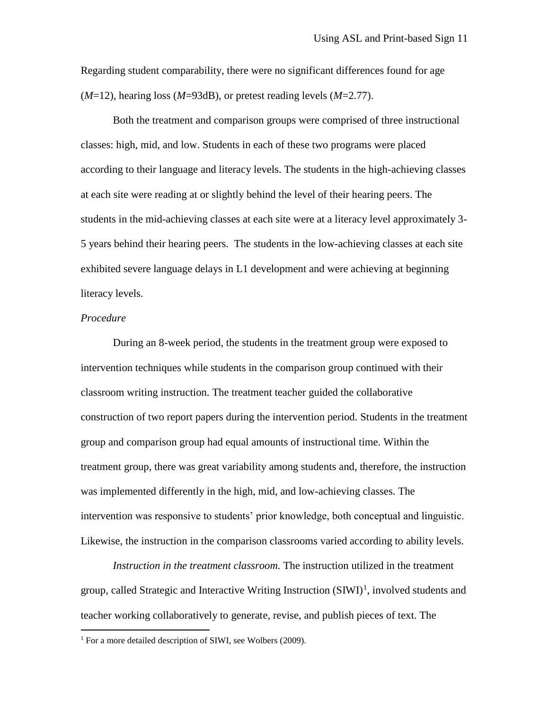Regarding student comparability, there were no significant differences found for age (*M*=12), hearing loss (*M*=93dB), or pretest reading levels (*M*=2.77).

Both the treatment and comparison groups were comprised of three instructional classes: high, mid, and low. Students in each of these two programs were placed according to their language and literacy levels. The students in the high-achieving classes at each site were reading at or slightly behind the level of their hearing peers. The students in the mid-achieving classes at each site were at a literacy level approximately 3- 5 years behind their hearing peers. The students in the low-achieving classes at each site exhibited severe language delays in L1 development and were achieving at beginning literacy levels.

#### *Procedure*

 $\overline{a}$ 

During an 8-week period, the students in the treatment group were exposed to intervention techniques while students in the comparison group continued with their classroom writing instruction. The treatment teacher guided the collaborative construction of two report papers during the intervention period. Students in the treatment group and comparison group had equal amounts of instructional time. Within the treatment group, there was great variability among students and, therefore, the instruction was implemented differently in the high, mid, and low-achieving classes. The intervention was responsive to students' prior knowledge, both conceptual and linguistic. Likewise, the instruction in the comparison classrooms varied according to ability levels.

*Instruction in the treatment classroom.* The instruction utilized in the treatment group, called Strategic and Interactive Writing Instruction  $(SIWI)^1$ , involved students and teacher working collaboratively to generate, revise, and publish pieces of text. The

<sup>&</sup>lt;sup>1</sup> For a more detailed description of SIWI, see Wolbers (2009).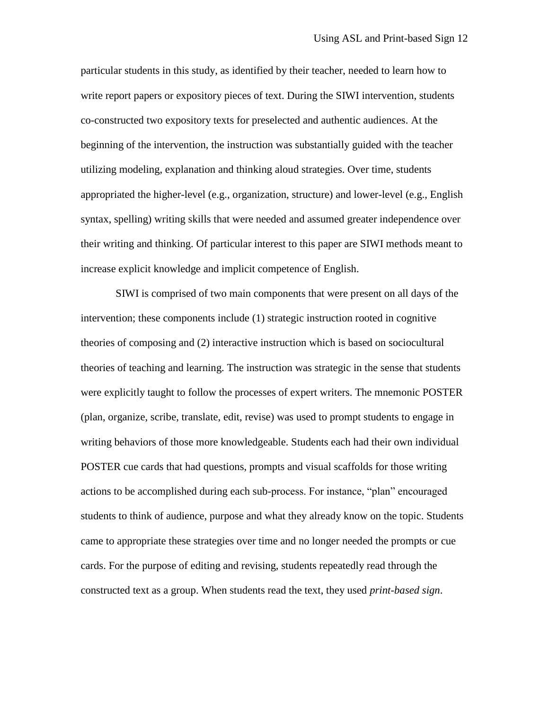particular students in this study, as identified by their teacher, needed to learn how to write report papers or expository pieces of text. During the SIWI intervention, students co-constructed two expository texts for preselected and authentic audiences. At the beginning of the intervention, the instruction was substantially guided with the teacher utilizing modeling, explanation and thinking aloud strategies. Over time, students appropriated the higher-level (e.g., organization, structure) and lower-level (e.g., English syntax, spelling) writing skills that were needed and assumed greater independence over their writing and thinking. Of particular interest to this paper are SIWI methods meant to increase explicit knowledge and implicit competence of English.

SIWI is comprised of two main components that were present on all days of the intervention; these components include (1) strategic instruction rooted in cognitive theories of composing and (2) interactive instruction which is based on sociocultural theories of teaching and learning. The instruction was strategic in the sense that students were explicitly taught to follow the processes of expert writers. The mnemonic POSTER (plan, organize, scribe, translate, edit, revise) was used to prompt students to engage in writing behaviors of those more knowledgeable. Students each had their own individual POSTER cue cards that had questions, prompts and visual scaffolds for those writing actions to be accomplished during each sub-process. For instance, "plan" encouraged students to think of audience, purpose and what they already know on the topic. Students came to appropriate these strategies over time and no longer needed the prompts or cue cards. For the purpose of editing and revising, students repeatedly read through the constructed text as a group. When students read the text, they used *print-based sign*.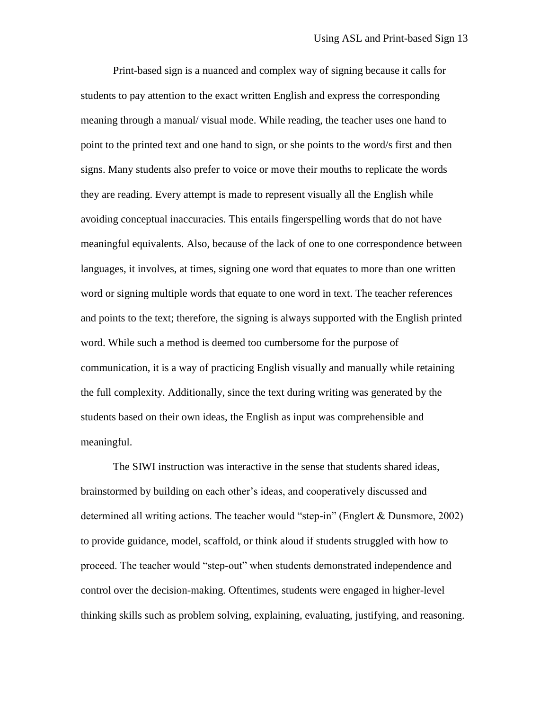Print-based sign is a nuanced and complex way of signing because it calls for students to pay attention to the exact written English and express the corresponding meaning through a manual/ visual mode. While reading, the teacher uses one hand to point to the printed text and one hand to sign, or she points to the word/s first and then signs. Many students also prefer to voice or move their mouths to replicate the words they are reading. Every attempt is made to represent visually all the English while avoiding conceptual inaccuracies. This entails fingerspelling words that do not have meaningful equivalents. Also, because of the lack of one to one correspondence between languages, it involves, at times, signing one word that equates to more than one written word or signing multiple words that equate to one word in text. The teacher references and points to the text; therefore, the signing is always supported with the English printed word. While such a method is deemed too cumbersome for the purpose of communication, it is a way of practicing English visually and manually while retaining the full complexity. Additionally, since the text during writing was generated by the students based on their own ideas, the English as input was comprehensible and meaningful.

The SIWI instruction was interactive in the sense that students shared ideas, brainstormed by building on each other's ideas, and cooperatively discussed and determined all writing actions. The teacher would "step-in" (Englert & Dunsmore, 2002) to provide guidance, model, scaffold, or think aloud if students struggled with how to proceed. The teacher would "step-out" when students demonstrated independence and control over the decision-making. Oftentimes, students were engaged in higher-level thinking skills such as problem solving, explaining, evaluating, justifying, and reasoning.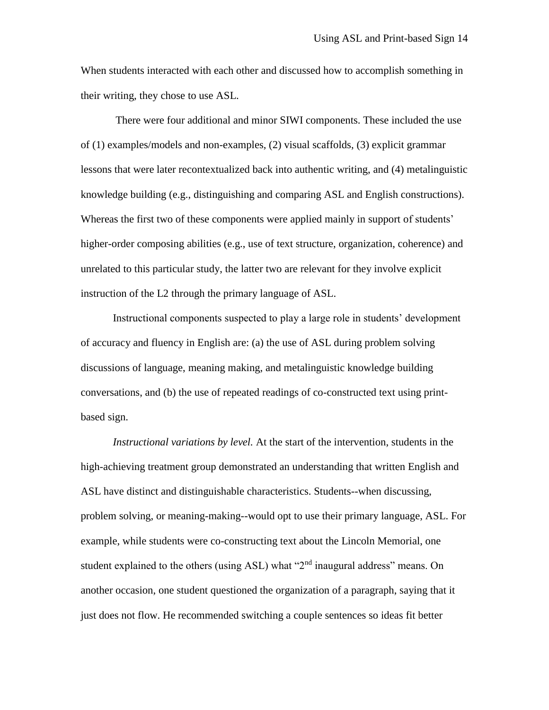When students interacted with each other and discussed how to accomplish something in their writing, they chose to use ASL.

There were four additional and minor SIWI components. These included the use of (1) examples/models and non-examples, (2) visual scaffolds, (3) explicit grammar lessons that were later recontextualized back into authentic writing, and (4) metalinguistic knowledge building (e.g., distinguishing and comparing ASL and English constructions). Whereas the first two of these components were applied mainly in support of students' higher-order composing abilities (e.g., use of text structure, organization, coherence) and unrelated to this particular study, the latter two are relevant for they involve explicit instruction of the L2 through the primary language of ASL.

Instructional components suspected to play a large role in students' development of accuracy and fluency in English are: (a) the use of ASL during problem solving discussions of language, meaning making, and metalinguistic knowledge building conversations, and (b) the use of repeated readings of co-constructed text using printbased sign.

*Instructional variations by level.* At the start of the intervention, students in the high-achieving treatment group demonstrated an understanding that written English and ASL have distinct and distinguishable characteristics. Students--when discussing, problem solving, or meaning-making--would opt to use their primary language, ASL. For example, while students were co-constructing text about the Lincoln Memorial, one student explained to the others (using ASL) what "2<sup>nd</sup> inaugural address" means. On another occasion, one student questioned the organization of a paragraph, saying that it just does not flow. He recommended switching a couple sentences so ideas fit better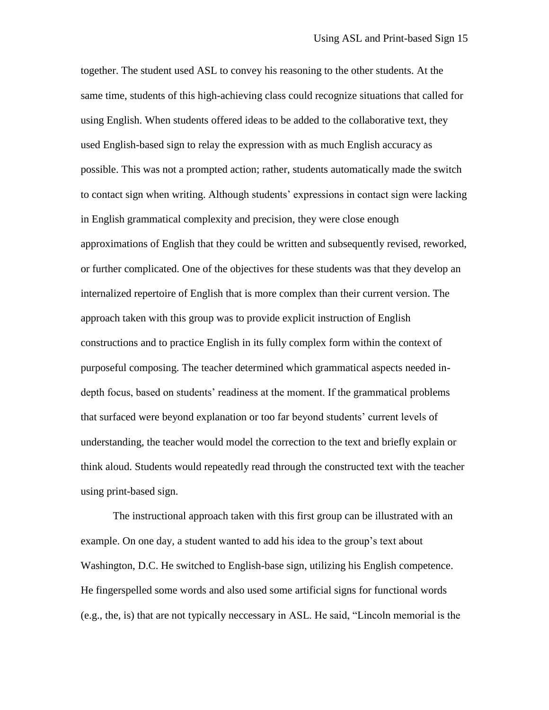together. The student used ASL to convey his reasoning to the other students. At the same time, students of this high-achieving class could recognize situations that called for using English. When students offered ideas to be added to the collaborative text, they used English-based sign to relay the expression with as much English accuracy as possible. This was not a prompted action; rather, students automatically made the switch to contact sign when writing. Although students' expressions in contact sign were lacking in English grammatical complexity and precision, they were close enough approximations of English that they could be written and subsequently revised, reworked, or further complicated. One of the objectives for these students was that they develop an internalized repertoire of English that is more complex than their current version. The approach taken with this group was to provide explicit instruction of English constructions and to practice English in its fully complex form within the context of purposeful composing. The teacher determined which grammatical aspects needed indepth focus, based on students' readiness at the moment. If the grammatical problems that surfaced were beyond explanation or too far beyond students' current levels of understanding, the teacher would model the correction to the text and briefly explain or think aloud. Students would repeatedly read through the constructed text with the teacher using print-based sign.

The instructional approach taken with this first group can be illustrated with an example. On one day, a student wanted to add his idea to the group's text about Washington, D.C. He switched to English-base sign, utilizing his English competence. He fingerspelled some words and also used some artificial signs for functional words (e.g., the, is) that are not typically neccessary in ASL. He said, "Lincoln memorial is the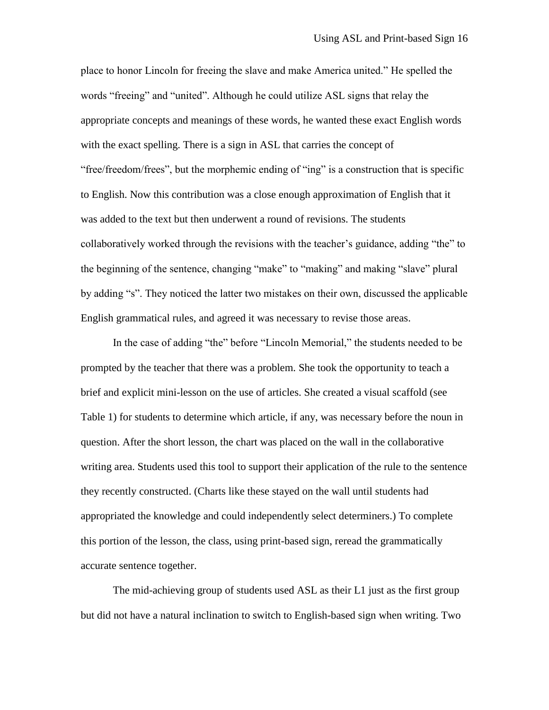place to honor Lincoln for freeing the slave and make America united." He spelled the words "freeing" and "united". Although he could utilize ASL signs that relay the appropriate concepts and meanings of these words, he wanted these exact English words with the exact spelling. There is a sign in ASL that carries the concept of "free/freedom/frees", but the morphemic ending of "ing" is a construction that is specific to English. Now this contribution was a close enough approximation of English that it was added to the text but then underwent a round of revisions. The students collaboratively worked through the revisions with the teacher's guidance, adding "the" to the beginning of the sentence, changing "make" to "making" and making "slave" plural by adding "s". They noticed the latter two mistakes on their own, discussed the applicable English grammatical rules, and agreed it was necessary to revise those areas.

In the case of adding "the" before "Lincoln Memorial," the students needed to be prompted by the teacher that there was a problem. She took the opportunity to teach a brief and explicit mini-lesson on the use of articles. She created a visual scaffold (see Table 1) for students to determine which article, if any, was necessary before the noun in question. After the short lesson, the chart was placed on the wall in the collaborative writing area. Students used this tool to support their application of the rule to the sentence they recently constructed. (Charts like these stayed on the wall until students had appropriated the knowledge and could independently select determiners.) To complete this portion of the lesson, the class, using print-based sign, reread the grammatically accurate sentence together.

The mid-achieving group of students used ASL as their L1 just as the first group but did not have a natural inclination to switch to English-based sign when writing. Two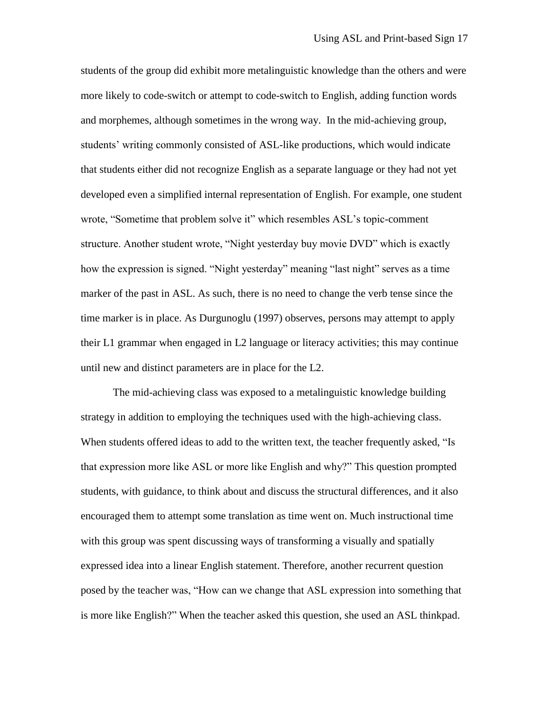students of the group did exhibit more metalinguistic knowledge than the others and were more likely to code-switch or attempt to code-switch to English, adding function words and morphemes, although sometimes in the wrong way. In the mid-achieving group, students' writing commonly consisted of ASL-like productions, which would indicate that students either did not recognize English as a separate language or they had not yet developed even a simplified internal representation of English. For example, one student wrote, "Sometime that problem solve it" which resembles ASL's topic-comment structure. Another student wrote, "Night yesterday buy movie DVD" which is exactly how the expression is signed. "Night yesterday" meaning "last night" serves as a time marker of the past in ASL. As such, there is no need to change the verb tense since the time marker is in place. As Durgunoglu (1997) observes, persons may attempt to apply their L1 grammar when engaged in L2 language or literacy activities; this may continue until new and distinct parameters are in place for the L2.

The mid-achieving class was exposed to a metalinguistic knowledge building strategy in addition to employing the techniques used with the high-achieving class. When students offered ideas to add to the written text, the teacher frequently asked, "Is that expression more like ASL or more like English and why?" This question prompted students, with guidance, to think about and discuss the structural differences, and it also encouraged them to attempt some translation as time went on. Much instructional time with this group was spent discussing ways of transforming a visually and spatially expressed idea into a linear English statement. Therefore, another recurrent question posed by the teacher was, "How can we change that ASL expression into something that is more like English?" When the teacher asked this question, she used an ASL thinkpad.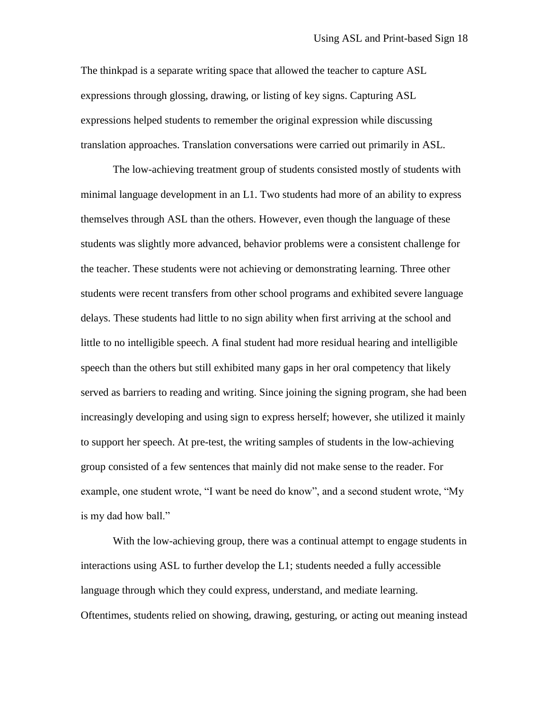The thinkpad is a separate writing space that allowed the teacher to capture ASL expressions through glossing, drawing, or listing of key signs. Capturing ASL expressions helped students to remember the original expression while discussing translation approaches. Translation conversations were carried out primarily in ASL.

The low-achieving treatment group of students consisted mostly of students with minimal language development in an L1. Two students had more of an ability to express themselves through ASL than the others. However, even though the language of these students was slightly more advanced, behavior problems were a consistent challenge for the teacher. These students were not achieving or demonstrating learning. Three other students were recent transfers from other school programs and exhibited severe language delays. These students had little to no sign ability when first arriving at the school and little to no intelligible speech. A final student had more residual hearing and intelligible speech than the others but still exhibited many gaps in her oral competency that likely served as barriers to reading and writing. Since joining the signing program, she had been increasingly developing and using sign to express herself; however, she utilized it mainly to support her speech. At pre-test, the writing samples of students in the low-achieving group consisted of a few sentences that mainly did not make sense to the reader. For example, one student wrote, "I want be need do know", and a second student wrote, "My is my dad how ball."

With the low-achieving group, there was a continual attempt to engage students in interactions using ASL to further develop the L1; students needed a fully accessible language through which they could express, understand, and mediate learning. Oftentimes, students relied on showing, drawing, gesturing, or acting out meaning instead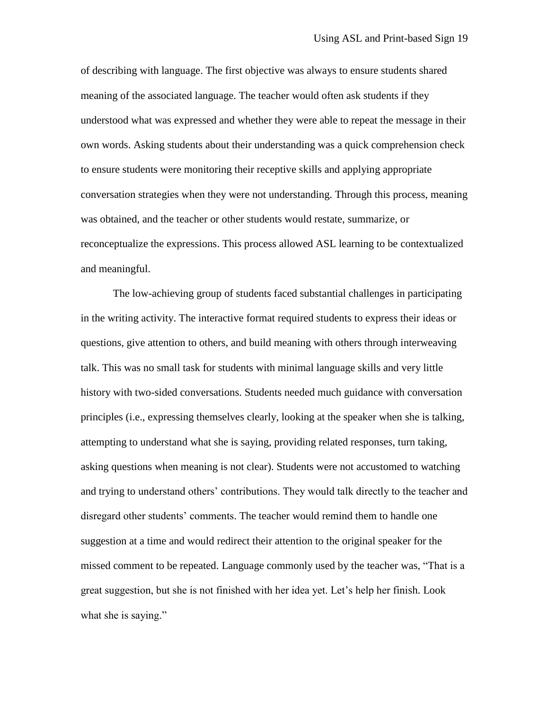of describing with language. The first objective was always to ensure students shared meaning of the associated language. The teacher would often ask students if they understood what was expressed and whether they were able to repeat the message in their own words. Asking students about their understanding was a quick comprehension check to ensure students were monitoring their receptive skills and applying appropriate conversation strategies when they were not understanding. Through this process, meaning was obtained, and the teacher or other students would restate, summarize, or reconceptualize the expressions. This process allowed ASL learning to be contextualized and meaningful.

The low-achieving group of students faced substantial challenges in participating in the writing activity. The interactive format required students to express their ideas or questions, give attention to others, and build meaning with others through interweaving talk. This was no small task for students with minimal language skills and very little history with two-sided conversations. Students needed much guidance with conversation principles (i.e., expressing themselves clearly, looking at the speaker when she is talking, attempting to understand what she is saying, providing related responses, turn taking, asking questions when meaning is not clear). Students were not accustomed to watching and trying to understand others' contributions. They would talk directly to the teacher and disregard other students' comments. The teacher would remind them to handle one suggestion at a time and would redirect their attention to the original speaker for the missed comment to be repeated. Language commonly used by the teacher was, "That is a great suggestion, but she is not finished with her idea yet. Let's help her finish. Look what she is saying."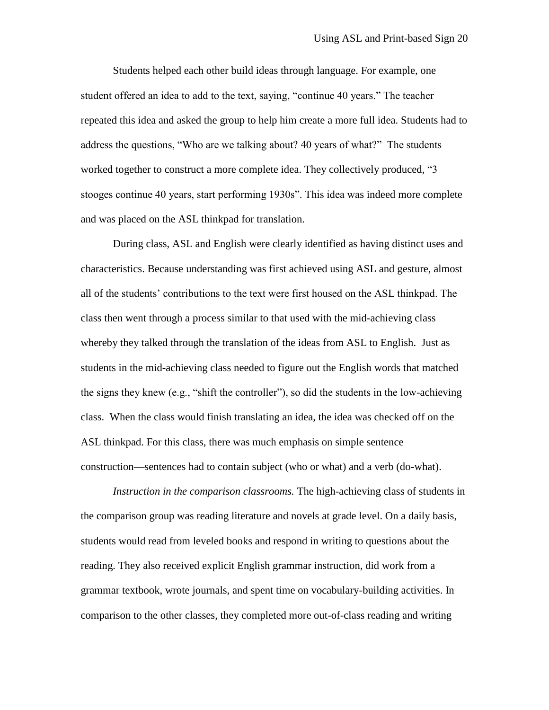Students helped each other build ideas through language. For example, one student offered an idea to add to the text, saying, "continue 40 years." The teacher repeated this idea and asked the group to help him create a more full idea. Students had to address the questions, "Who are we talking about? 40 years of what?" The students worked together to construct a more complete idea. They collectively produced, "3 stooges continue 40 years, start performing 1930s". This idea was indeed more complete and was placed on the ASL thinkpad for translation.

During class, ASL and English were clearly identified as having distinct uses and characteristics. Because understanding was first achieved using ASL and gesture, almost all of the students' contributions to the text were first housed on the ASL thinkpad. The class then went through a process similar to that used with the mid-achieving class whereby they talked through the translation of the ideas from ASL to English. Just as students in the mid-achieving class needed to figure out the English words that matched the signs they knew (e.g., "shift the controller"), so did the students in the low-achieving class. When the class would finish translating an idea, the idea was checked off on the ASL thinkpad. For this class, there was much emphasis on simple sentence construction—sentences had to contain subject (who or what) and a verb (do-what).

*Instruction in the comparison classrooms.* The high-achieving class of students in the comparison group was reading literature and novels at grade level. On a daily basis, students would read from leveled books and respond in writing to questions about the reading. They also received explicit English grammar instruction, did work from a grammar textbook, wrote journals, and spent time on vocabulary-building activities. In comparison to the other classes, they completed more out-of-class reading and writing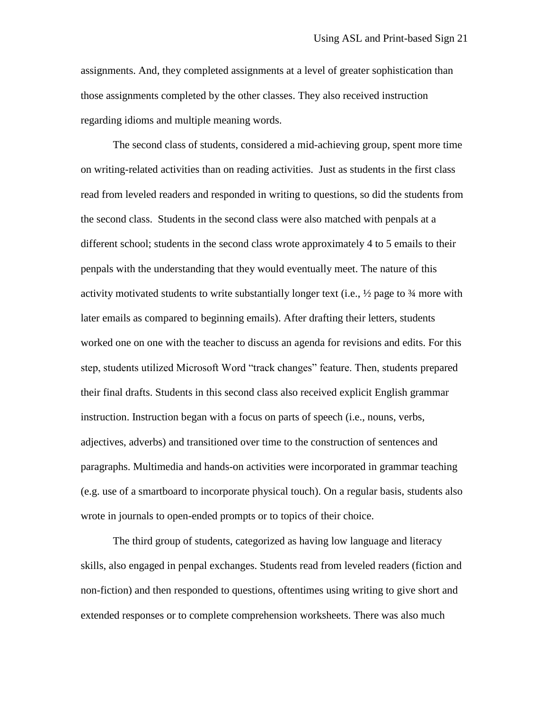assignments. And, they completed assignments at a level of greater sophistication than those assignments completed by the other classes. They also received instruction regarding idioms and multiple meaning words.

The second class of students, considered a mid-achieving group, spent more time on writing-related activities than on reading activities. Just as students in the first class read from leveled readers and responded in writing to questions, so did the students from the second class. Students in the second class were also matched with penpals at a different school; students in the second class wrote approximately 4 to 5 emails to their penpals with the understanding that they would eventually meet. The nature of this activity motivated students to write substantially longer text (i.e.,  $\frac{1}{2}$  page to  $\frac{3}{4}$  more with later emails as compared to beginning emails). After drafting their letters, students worked one on one with the teacher to discuss an agenda for revisions and edits. For this step, students utilized Microsoft Word "track changes" feature. Then, students prepared their final drafts. Students in this second class also received explicit English grammar instruction. Instruction began with a focus on parts of speech (i.e., nouns, verbs, adjectives, adverbs) and transitioned over time to the construction of sentences and paragraphs. Multimedia and hands-on activities were incorporated in grammar teaching (e.g. use of a smartboard to incorporate physical touch). On a regular basis, students also wrote in journals to open-ended prompts or to topics of their choice.

The third group of students, categorized as having low language and literacy skills, also engaged in penpal exchanges. Students read from leveled readers (fiction and non-fiction) and then responded to questions, oftentimes using writing to give short and extended responses or to complete comprehension worksheets. There was also much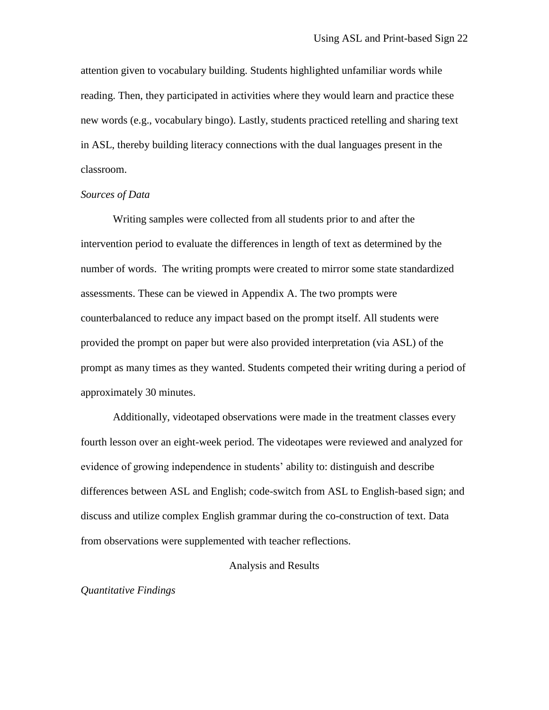attention given to vocabulary building. Students highlighted unfamiliar words while reading. Then, they participated in activities where they would learn and practice these new words (e.g., vocabulary bingo). Lastly, students practiced retelling and sharing text in ASL, thereby building literacy connections with the dual languages present in the classroom.

#### *Sources of Data*

Writing samples were collected from all students prior to and after the intervention period to evaluate the differences in length of text as determined by the number of words. The writing prompts were created to mirror some state standardized assessments. These can be viewed in Appendix A. The two prompts were counterbalanced to reduce any impact based on the prompt itself. All students were provided the prompt on paper but were also provided interpretation (via ASL) of the prompt as many times as they wanted. Students competed their writing during a period of approximately 30 minutes.

Additionally, videotaped observations were made in the treatment classes every fourth lesson over an eight-week period. The videotapes were reviewed and analyzed for evidence of growing independence in students' ability to: distinguish and describe differences between ASL and English; code-switch from ASL to English-based sign; and discuss and utilize complex English grammar during the co-construction of text. Data from observations were supplemented with teacher reflections.

#### Analysis and Results

#### *Quantitative Findings*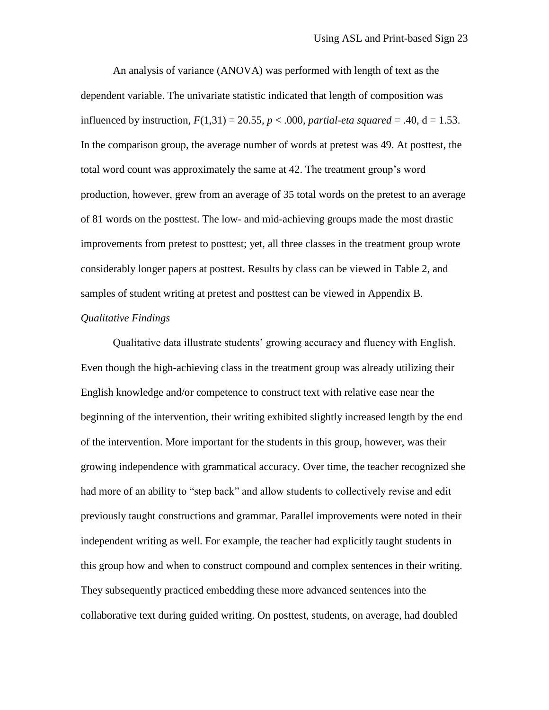An analysis of variance (ANOVA) was performed with length of text as the dependent variable. The univariate statistic indicated that length of composition was influenced by instruction,  $F(1,31) = 20.55$ ,  $p < .000$ , *partial-eta squared* = .40, d = 1.53. In the comparison group, the average number of words at pretest was 49. At posttest, the total word count was approximately the same at 42. The treatment group's word production, however, grew from an average of 35 total words on the pretest to an average of 81 words on the posttest. The low- and mid-achieving groups made the most drastic improvements from pretest to posttest; yet, all three classes in the treatment group wrote considerably longer papers at posttest. Results by class can be viewed in Table 2, and samples of student writing at pretest and posttest can be viewed in Appendix B.

#### *Qualitative Findings*

Qualitative data illustrate students' growing accuracy and fluency with English. Even though the high-achieving class in the treatment group was already utilizing their English knowledge and/or competence to construct text with relative ease near the beginning of the intervention, their writing exhibited slightly increased length by the end of the intervention. More important for the students in this group, however, was their growing independence with grammatical accuracy. Over time, the teacher recognized she had more of an ability to "step back" and allow students to collectively revise and edit previously taught constructions and grammar. Parallel improvements were noted in their independent writing as well. For example, the teacher had explicitly taught students in this group how and when to construct compound and complex sentences in their writing. They subsequently practiced embedding these more advanced sentences into the collaborative text during guided writing. On posttest, students, on average, had doubled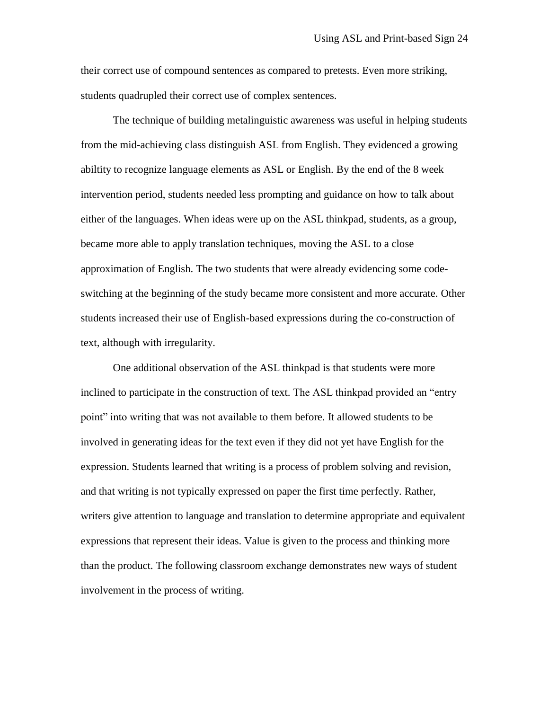their correct use of compound sentences as compared to pretests. Even more striking, students quadrupled their correct use of complex sentences.

The technique of building metalinguistic awareness was useful in helping students from the mid-achieving class distinguish ASL from English. They evidenced a growing abiltity to recognize language elements as ASL or English. By the end of the 8 week intervention period, students needed less prompting and guidance on how to talk about either of the languages. When ideas were up on the ASL thinkpad, students, as a group, became more able to apply translation techniques, moving the ASL to a close approximation of English. The two students that were already evidencing some codeswitching at the beginning of the study became more consistent and more accurate. Other students increased their use of English-based expressions during the co-construction of text, although with irregularity.

One additional observation of the ASL thinkpad is that students were more inclined to participate in the construction of text. The ASL thinkpad provided an "entry point" into writing that was not available to them before. It allowed students to be involved in generating ideas for the text even if they did not yet have English for the expression. Students learned that writing is a process of problem solving and revision, and that writing is not typically expressed on paper the first time perfectly. Rather, writers give attention to language and translation to determine appropriate and equivalent expressions that represent their ideas. Value is given to the process and thinking more than the product. The following classroom exchange demonstrates new ways of student involvement in the process of writing.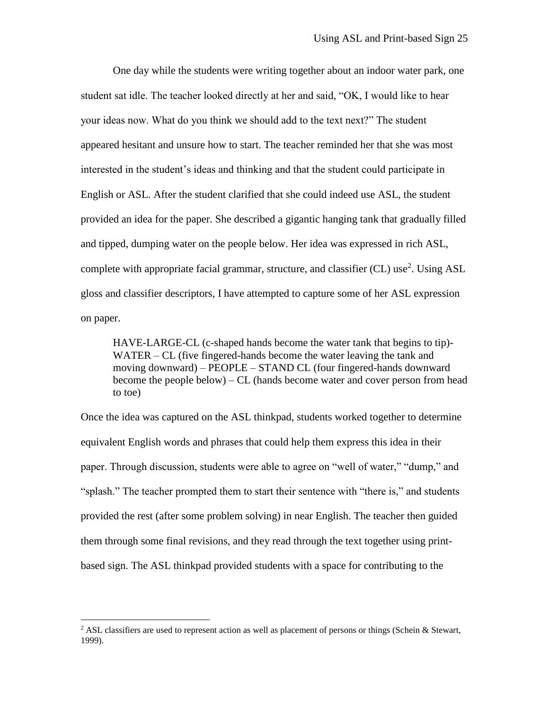One day while the students were writing together about an indoor water park, one student sat idle. The teacher looked directly at her and said, "OK, I would like to hear your ideas now. What do you think we should add to the text next?" The student appeared hesitant and unsure how to start. The teacher reminded her that she was most interested in the student's ideas and thinking and that the student could participate in English or ASL. After the student clarified that she could indeed use ASL, the student provided an idea for the paper. She described a gigantic hanging tank that gradually filled and tipped, dumping water on the people below. Her idea was expressed in rich ASL, complete with appropriate facial grammar, structure, and classifier (CL) use<sup>2</sup>. Using ASL gloss and classifier descriptors, I have attempted to capture some of her ASL expression on paper.

HAVE-LARGE-CL (c-shaped hands become the water tank that begins to tip)- WATER – CL (five fingered-hands become the water leaving the tank and moving downward) – PEOPLE – STAND CL (four fingered-hands downward become the people below) – CL (hands become water and cover person from head to toe)

Once the idea was captured on the ASL thinkpad, students worked together to determine equivalent English words and phrases that could help them express this idea in their paper. Through discussion, students were able to agree on "well of water," "dump," and "splash." The teacher prompted them to start their sentence with "there is," and students provided the rest (after some problem solving) in near English. The teacher then guided them through some final revisions, and they read through the text together using printbased sign. The ASL thinkpad provided students with a space for contributing to the

 $\overline{a}$ 

<sup>&</sup>lt;sup>2</sup> ASL classifiers are used to represent action as well as placement of persons or things (Schein & Stewart, 1999).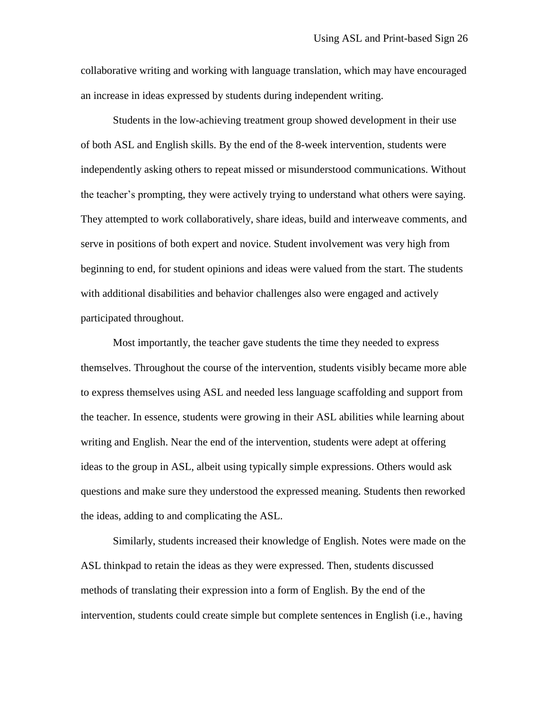collaborative writing and working with language translation, which may have encouraged an increase in ideas expressed by students during independent writing.

Students in the low-achieving treatment group showed development in their use of both ASL and English skills. By the end of the 8-week intervention, students were independently asking others to repeat missed or misunderstood communications. Without the teacher's prompting, they were actively trying to understand what others were saying. They attempted to work collaboratively, share ideas, build and interweave comments, and serve in positions of both expert and novice. Student involvement was very high from beginning to end, for student opinions and ideas were valued from the start. The students with additional disabilities and behavior challenges also were engaged and actively participated throughout.

Most importantly, the teacher gave students the time they needed to express themselves. Throughout the course of the intervention, students visibly became more able to express themselves using ASL and needed less language scaffolding and support from the teacher. In essence, students were growing in their ASL abilities while learning about writing and English. Near the end of the intervention, students were adept at offering ideas to the group in ASL, albeit using typically simple expressions. Others would ask questions and make sure they understood the expressed meaning. Students then reworked the ideas, adding to and complicating the ASL.

Similarly, students increased their knowledge of English. Notes were made on the ASL thinkpad to retain the ideas as they were expressed. Then, students discussed methods of translating their expression into a form of English. By the end of the intervention, students could create simple but complete sentences in English (i.e., having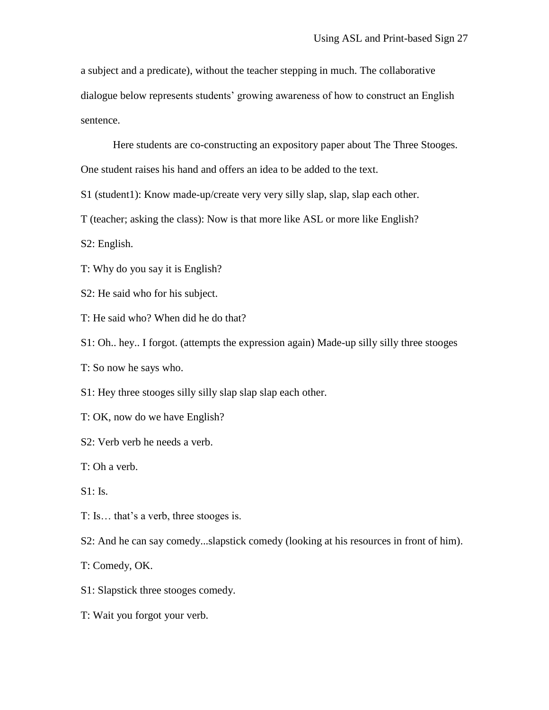a subject and a predicate), without the teacher stepping in much. The collaborative dialogue below represents students' growing awareness of how to construct an English sentence.

Here students are co-constructing an expository paper about The Three Stooges. One student raises his hand and offers an idea to be added to the text.

S1 (student1): Know made-up/create very very silly slap, slap, slap each other.

T (teacher; asking the class): Now is that more like ASL or more like English?

S2: English.

T: Why do you say it is English?

S2: He said who for his subject.

T: He said who? When did he do that?

S1: Oh.. hey.. I forgot. (attempts the expression again) Made-up silly silly three stooges

T: So now he says who.

S1: Hey three stooges silly silly slap slap slap each other.

T: OK, now do we have English?

S2: Verb verb he needs a verb.

T: Oh a verb.

S1: Is.

T: Is… that's a verb, three stooges is.

S2: And he can say comedy...slapstick comedy (looking at his resources in front of him).

T: Comedy, OK.

- S1: Slapstick three stooges comedy.
- T: Wait you forgot your verb.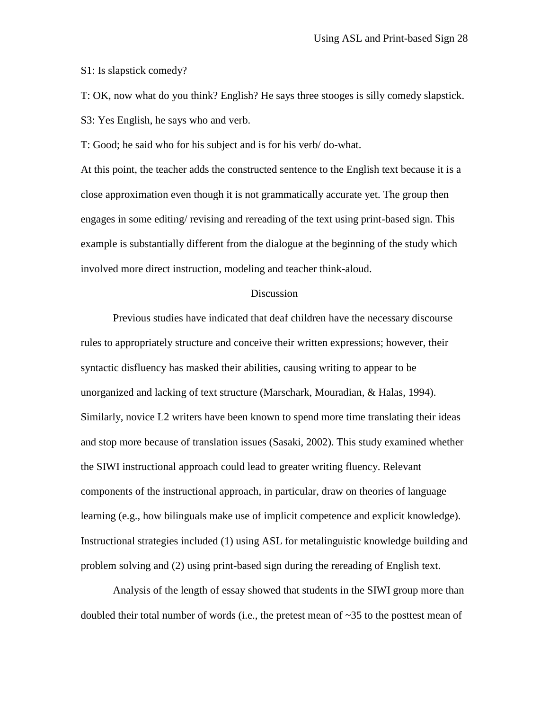S1: Is slapstick comedy?

T: OK, now what do you think? English? He says three stooges is silly comedy slapstick. S3: Yes English, he says who and verb.

T: Good; he said who for his subject and is for his verb/ do-what.

At this point, the teacher adds the constructed sentence to the English text because it is a close approximation even though it is not grammatically accurate yet. The group then engages in some editing/ revising and rereading of the text using print-based sign. This example is substantially different from the dialogue at the beginning of the study which involved more direct instruction, modeling and teacher think-aloud.

#### Discussion

Previous studies have indicated that deaf children have the necessary discourse rules to appropriately structure and conceive their written expressions; however, their syntactic disfluency has masked their abilities, causing writing to appear to be unorganized and lacking of text structure (Marschark, Mouradian, & Halas, 1994). Similarly, novice L2 writers have been known to spend more time translating their ideas and stop more because of translation issues (Sasaki, 2002). This study examined whether the SIWI instructional approach could lead to greater writing fluency. Relevant components of the instructional approach, in particular, draw on theories of language learning (e.g., how bilinguals make use of implicit competence and explicit knowledge). Instructional strategies included (1) using ASL for metalinguistic knowledge building and problem solving and (2) using print-based sign during the rereading of English text.

Analysis of the length of essay showed that students in the SIWI group more than doubled their total number of words (i.e., the pretest mean of  $\sim$ 35 to the posttest mean of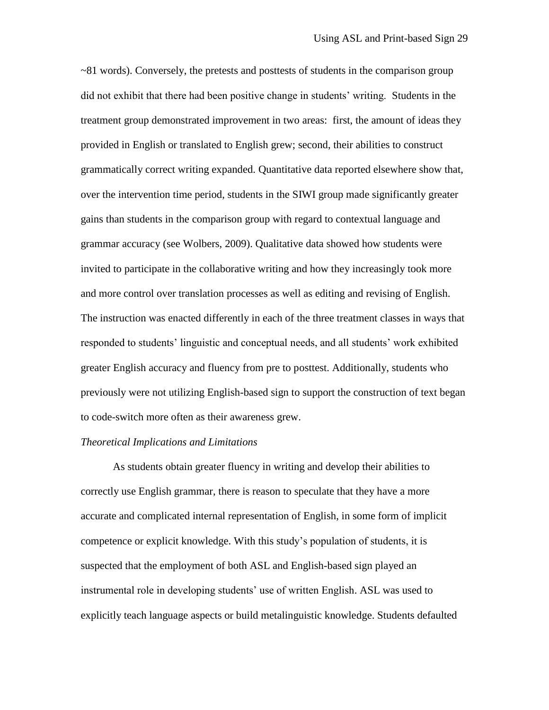$\sim$ 81 words). Conversely, the pretests and posttests of students in the comparison group did not exhibit that there had been positive change in students' writing. Students in the treatment group demonstrated improvement in two areas: first, the amount of ideas they provided in English or translated to English grew; second, their abilities to construct grammatically correct writing expanded. Quantitative data reported elsewhere show that, over the intervention time period, students in the SIWI group made significantly greater gains than students in the comparison group with regard to contextual language and grammar accuracy (see Wolbers, 2009). Qualitative data showed how students were invited to participate in the collaborative writing and how they increasingly took more and more control over translation processes as well as editing and revising of English. The instruction was enacted differently in each of the three treatment classes in ways that responded to students' linguistic and conceptual needs, and all students' work exhibited greater English accuracy and fluency from pre to posttest. Additionally, students who previously were not utilizing English-based sign to support the construction of text began to code-switch more often as their awareness grew.

#### *Theoretical Implications and Limitations*

As students obtain greater fluency in writing and develop their abilities to correctly use English grammar, there is reason to speculate that they have a more accurate and complicated internal representation of English, in some form of implicit competence or explicit knowledge. With this study's population of students, it is suspected that the employment of both ASL and English-based sign played an instrumental role in developing students' use of written English. ASL was used to explicitly teach language aspects or build metalinguistic knowledge. Students defaulted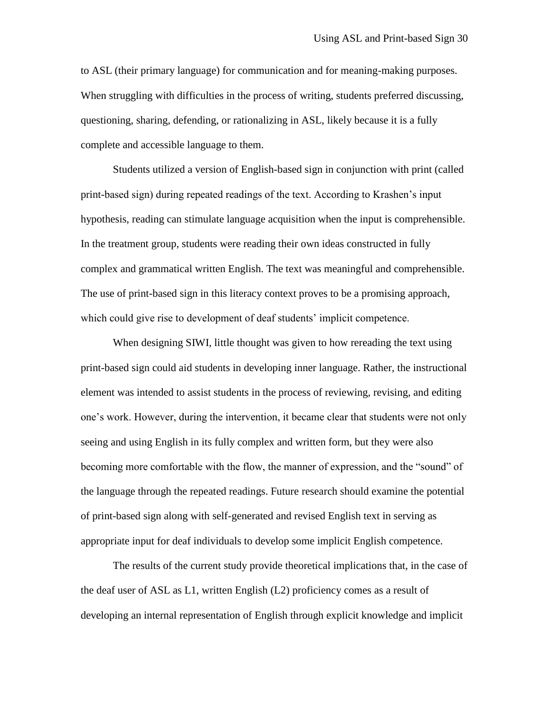to ASL (their primary language) for communication and for meaning-making purposes. When struggling with difficulties in the process of writing, students preferred discussing, questioning, sharing, defending, or rationalizing in ASL, likely because it is a fully complete and accessible language to them.

Students utilized a version of English-based sign in conjunction with print (called print-based sign) during repeated readings of the text. According to Krashen's input hypothesis, reading can stimulate language acquisition when the input is comprehensible. In the treatment group, students were reading their own ideas constructed in fully complex and grammatical written English. The text was meaningful and comprehensible. The use of print-based sign in this literacy context proves to be a promising approach, which could give rise to development of deaf students' implicit competence.

When designing SIWI, little thought was given to how rereading the text using print-based sign could aid students in developing inner language. Rather, the instructional element was intended to assist students in the process of reviewing, revising, and editing one's work. However, during the intervention, it became clear that students were not only seeing and using English in its fully complex and written form, but they were also becoming more comfortable with the flow, the manner of expression, and the "sound" of the language through the repeated readings. Future research should examine the potential of print-based sign along with self-generated and revised English text in serving as appropriate input for deaf individuals to develop some implicit English competence.

The results of the current study provide theoretical implications that, in the case of the deaf user of ASL as  $L1$ , written English  $(L2)$  proficiency comes as a result of developing an internal representation of English through explicit knowledge and implicit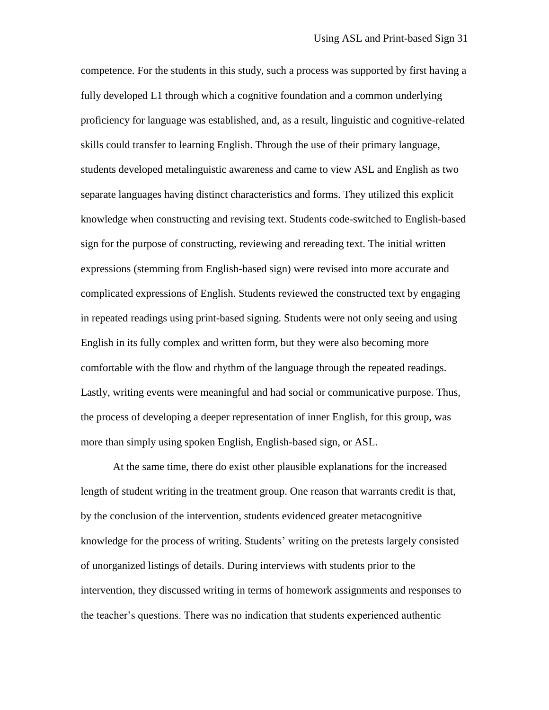competence. For the students in this study, such a process was supported by first having a fully developed L1 through which a cognitive foundation and a common underlying proficiency for language was established, and, as a result, linguistic and cognitive-related skills could transfer to learning English. Through the use of their primary language, students developed metalinguistic awareness and came to view ASL and English as two separate languages having distinct characteristics and forms. They utilized this explicit knowledge when constructing and revising text. Students code-switched to English-based sign for the purpose of constructing, reviewing and rereading text. The initial written expressions (stemming from English-based sign) were revised into more accurate and complicated expressions of English. Students reviewed the constructed text by engaging in repeated readings using print-based signing. Students were not only seeing and using English in its fully complex and written form, but they were also becoming more comfortable with the flow and rhythm of the language through the repeated readings. Lastly, writing events were meaningful and had social or communicative purpose. Thus, the process of developing a deeper representation of inner English, for this group, was more than simply using spoken English, English-based sign, or ASL.

At the same time, there do exist other plausible explanations for the increased length of student writing in the treatment group. One reason that warrants credit is that, by the conclusion of the intervention, students evidenced greater metacognitive knowledge for the process of writing. Students' writing on the pretests largely consisted of unorganized listings of details. During interviews with students prior to the intervention, they discussed writing in terms of homework assignments and responses to the teacher's questions. There was no indication that students experienced authentic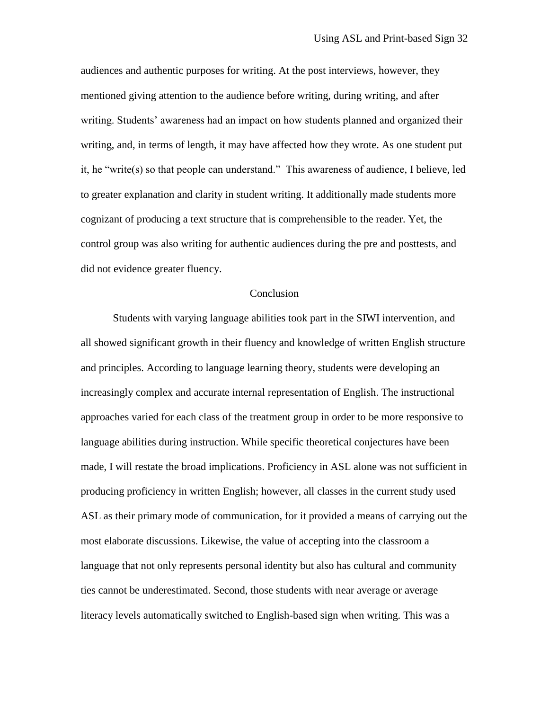audiences and authentic purposes for writing. At the post interviews, however, they mentioned giving attention to the audience before writing, during writing, and after writing. Students' awareness had an impact on how students planned and organized their writing, and, in terms of length, it may have affected how they wrote. As one student put it, he "write(s) so that people can understand." This awareness of audience, I believe, led to greater explanation and clarity in student writing. It additionally made students more cognizant of producing a text structure that is comprehensible to the reader. Yet, the control group was also writing for authentic audiences during the pre and posttests, and did not evidence greater fluency.

#### Conclusion

Students with varying language abilities took part in the SIWI intervention, and all showed significant growth in their fluency and knowledge of written English structure and principles. According to language learning theory, students were developing an increasingly complex and accurate internal representation of English. The instructional approaches varied for each class of the treatment group in order to be more responsive to language abilities during instruction. While specific theoretical conjectures have been made, I will restate the broad implications. Proficiency in ASL alone was not sufficient in producing proficiency in written English; however, all classes in the current study used ASL as their primary mode of communication, for it provided a means of carrying out the most elaborate discussions. Likewise, the value of accepting into the classroom a language that not only represents personal identity but also has cultural and community ties cannot be underestimated. Second, those students with near average or average literacy levels automatically switched to English-based sign when writing. This was a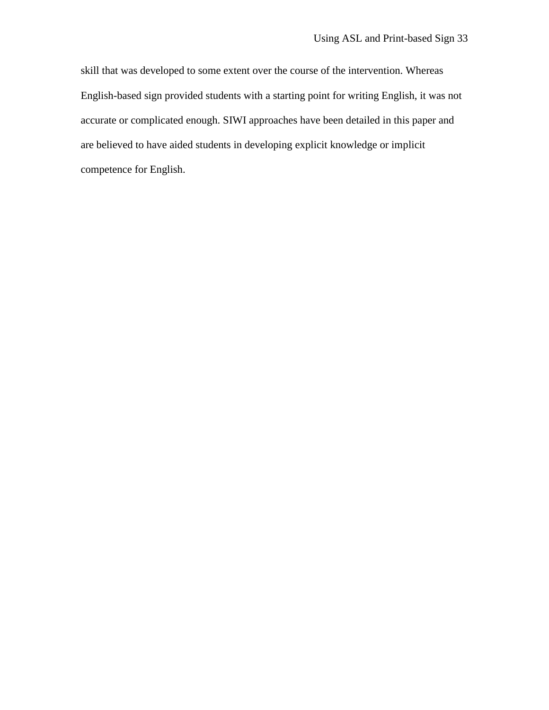skill that was developed to some extent over the course of the intervention. Whereas English-based sign provided students with a starting point for writing English, it was not accurate or complicated enough. SIWI approaches have been detailed in this paper and are believed to have aided students in developing explicit knowledge or implicit competence for English.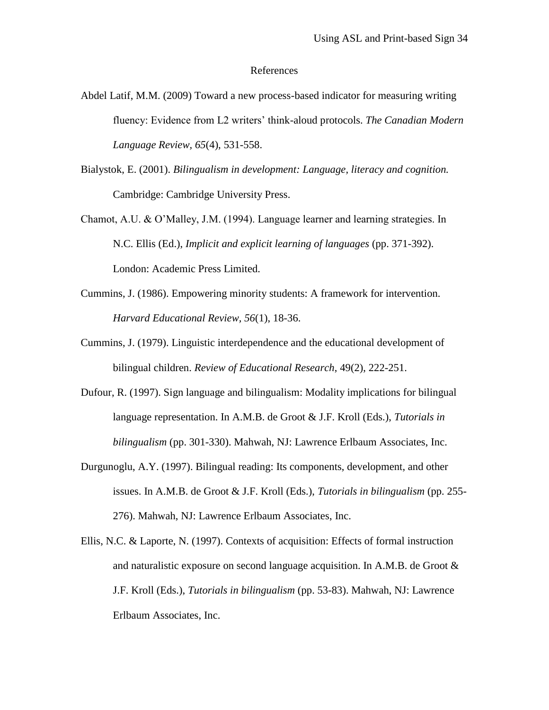#### References

- Abdel Latif, M.M. (2009) Toward a new process-based indicator for measuring writing fluency: Evidence from L2 writers' think-aloud protocols. *The Canadian Modern Language Review, 65*(4), 531-558.
- Bialystok, E. (2001). *Bilingualism in development: Language, literacy and cognition.* Cambridge: Cambridge University Press.
- Chamot, A.U. & O'Malley, J.M. (1994). Language learner and learning strategies. In N.C. Ellis (Ed.), *Implicit and explicit learning of languages* (pp. 371-392). London: Academic Press Limited.
- Cummins, J. (1986). Empowering minority students: A framework for intervention. *Harvard Educational Review, 56*(1), 18-36.
- Cummins, J. (1979). Linguistic interdependence and the educational development of bilingual children. *Review of Educational Research*, 49(2), 222-251.
- Dufour, R. (1997). Sign language and bilingualism: Modality implications for bilingual language representation. In A.M.B. de Groot & J.F. Kroll (Eds.), *Tutorials in bilingualism* (pp. 301-330). Mahwah, NJ: Lawrence Erlbaum Associates, Inc.
- Durgunoglu, A.Y. (1997). Bilingual reading: Its components, development, and other issues. In A.M.B. de Groot & J.F. Kroll (Eds.), *Tutorials in bilingualism* (pp. 255- 276). Mahwah, NJ: Lawrence Erlbaum Associates, Inc.
- Ellis, N.C. & Laporte, N. (1997). Contexts of acquisition: Effects of formal instruction and naturalistic exposure on second language acquisition. In A.M.B. de Groot & J.F. Kroll (Eds.), *Tutorials in bilingualism* (pp. 53-83). Mahwah, NJ: Lawrence Erlbaum Associates, Inc.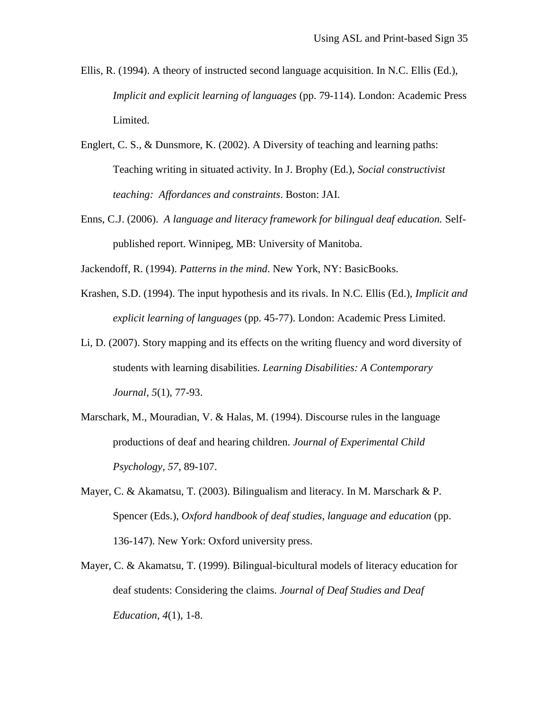- Ellis, R. (1994). A theory of instructed second language acquisition. In N.C. Ellis (Ed.), *Implicit and explicit learning of languages* (pp. 79-114). London: Academic Press Limited.
- Englert, C. S., & Dunsmore, K. (2002). A Diversity of teaching and learning paths: Teaching writing in situated activity. In J. Brophy (Ed.), *Social constructivist teaching: Affordances and constraints*. Boston: JAI.
- Enns, C.J. (2006). *A language and literacy framework for bilingual deaf education.* Selfpublished report. Winnipeg, MB: University of Manitoba.

Jackendoff, R. (1994). *Patterns in the mind*. New York, NY: BasicBooks.

- Krashen, S.D. (1994). The input hypothesis and its rivals. In N.C. Ellis (Ed.), *Implicit and explicit learning of languages* (pp. 45-77). London: Academic Press Limited.
- Li, D. (2007). Story mapping and its effects on the writing fluency and word diversity of students with learning disabilities. *Learning Disabilities: A Contemporary Journal, 5*(1), 77-93.
- Marschark, M., Mouradian, V. & Halas, M. (1994). Discourse rules in the language productions of deaf and hearing children. *Journal of Experimental Child Psychology, 57*, 89-107.
- Mayer, C. & Akamatsu, T. (2003). Bilingualism and literacy. In M. Marschark & P. Spencer (Eds.), *Oxford handbook of deaf studies, language and education* (pp. 136-147). New York: Oxford university press.
- Mayer, C. & Akamatsu, T. (1999). Bilingual-bicultural models of literacy education for deaf students: Considering the claims. *Journal of Deaf Studies and Deaf Education*, *4*(1), 1-8.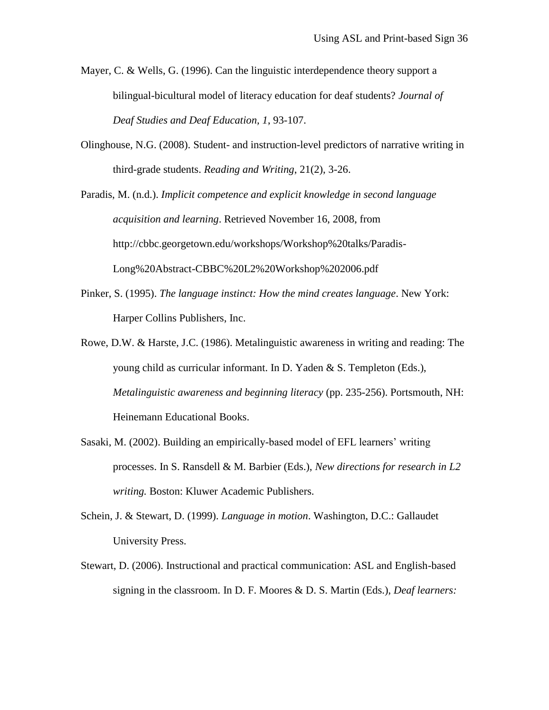- Mayer, C. & Wells, G. (1996). Can the linguistic interdependence theory support a bilingual-bicultural model of literacy education for deaf students? *Journal of Deaf Studies and Deaf Education, 1*, 93-107.
- Olinghouse, N.G. (2008). Student- and instruction-level predictors of narrative writing in third-grade students. *Reading and Writing*, 21(2), 3-26.

Paradis, M. (n.d.). *Implicit competence and explicit knowledge in second language acquisition and learning*. Retrieved November 16, 2008, from http://cbbc.georgetown.edu/workshops/Workshop%20talks/Paradis-Long%20Abstract-CBBC%20L2%20Workshop%202006.pdf

- Pinker, S. (1995). *The language instinct: How the mind creates language*. New York: Harper Collins Publishers, Inc.
- Rowe, D.W. & Harste, J.C. (1986). Metalinguistic awareness in writing and reading: The young child as curricular informant. In D. Yaden & S. Templeton (Eds.), *Metalinguistic awareness and beginning literacy* (pp. 235-256). Portsmouth, NH: Heinemann Educational Books.
- Sasaki, M. (2002). Building an empirically-based model of EFL learners' writing processes. In S. Ransdell & M. Barbier (Eds.), *New directions for research in L2 writing.* Boston: Kluwer Academic Publishers.
- Schein, J. & Stewart, D. (1999). *Language in motion*. Washington, D.C.: Gallaudet University Press.
- Stewart, D. (2006). Instructional and practical communication: ASL and English-based signing in the classroom. In D. F. Moores & D. S. Martin (Eds.), *Deaf learners:*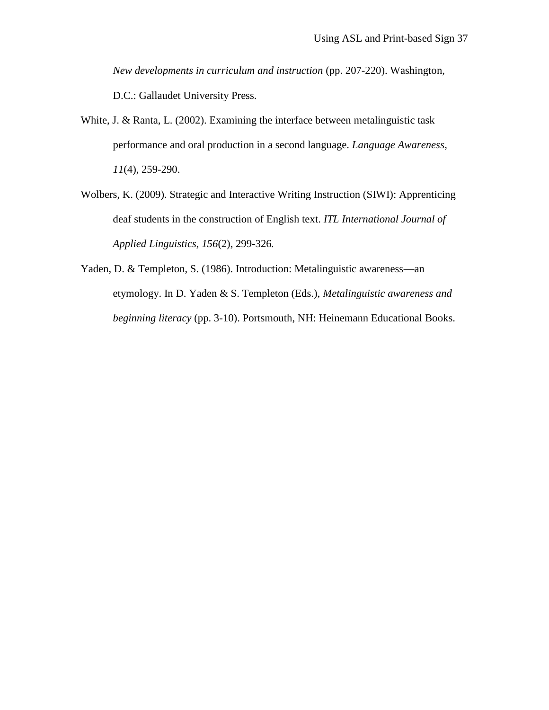*New developments in curriculum and instruction* (pp. 207-220). Washington, D.C.: Gallaudet University Press.

- White, J. & Ranta, L. (2002). Examining the interface between metalinguistic task performance and oral production in a second language. *Language Awareness*, *11*(4), 259-290.
- Wolbers, K. (2009). Strategic and Interactive Writing Instruction (SIWI): Apprenticing deaf students in the construction of English text. *ITL International Journal of Applied Linguistics, 156*(2), 299-326*.*
- Yaden, D. & Templeton, S. (1986). Introduction: Metalinguistic awareness—an etymology. In D. Yaden & S. Templeton (Eds.), *Metalinguistic awareness and beginning literacy* (pp. 3-10). Portsmouth, NH: Heinemann Educational Books.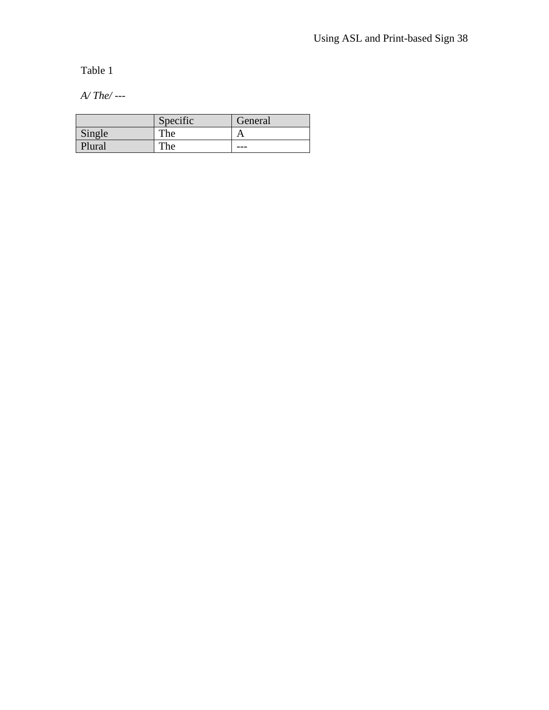Table 1

*A/ The/ ---*

|        | Specific | General |
|--------|----------|---------|
| Single | The      |         |
| Plural | The      | ___     |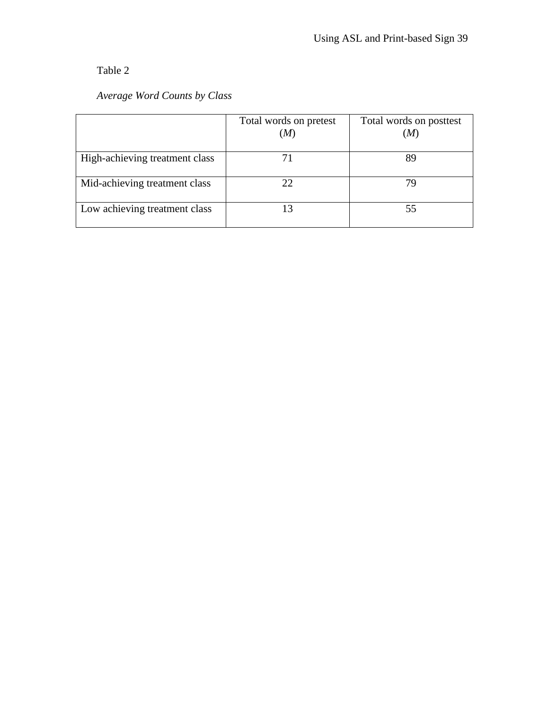# Table 2

### *Average Word Counts by Class*

|                                | Total words on pretest<br>(M) | Total words on posttest<br>'M |
|--------------------------------|-------------------------------|-------------------------------|
|                                |                               |                               |
| High-achieving treatment class |                               | 89                            |
| Mid-achieving treatment class  | 22.                           |                               |
| Low achieving treatment class  | 13                            | 55                            |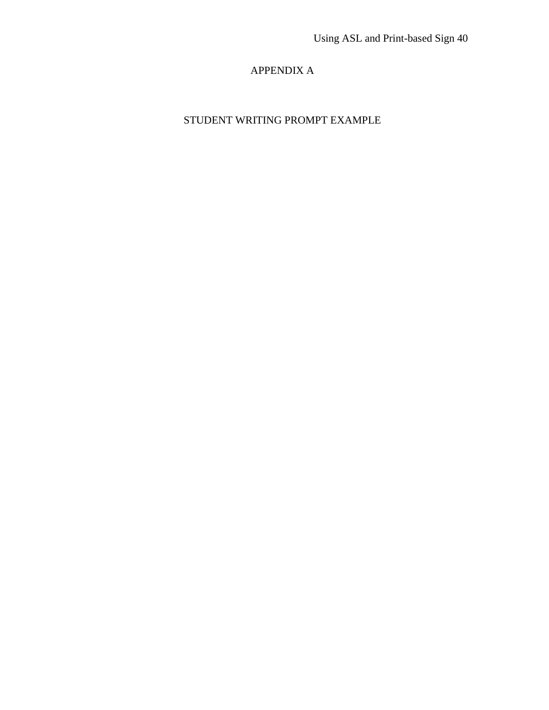## APPENDIX A

# STUDENT WRITING PROMPT EXAMPLE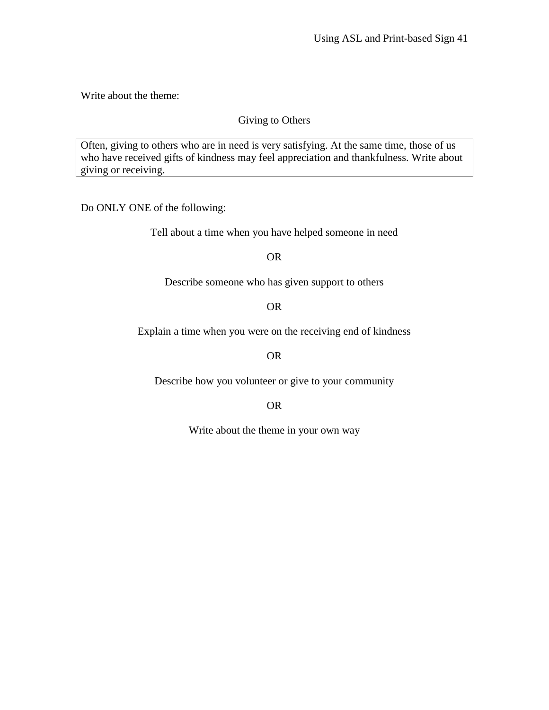Write about the theme:

### Giving to Others

Often, giving to others who are in need is very satisfying. At the same time, those of us who have received gifts of kindness may feel appreciation and thankfulness. Write about giving or receiving.

Do ONLY ONE of the following:

Tell about a time when you have helped someone in need

OR

Describe someone who has given support to others

OR

Explain a time when you were on the receiving end of kindness

OR

Describe how you volunteer or give to your community

OR

Write about the theme in your own way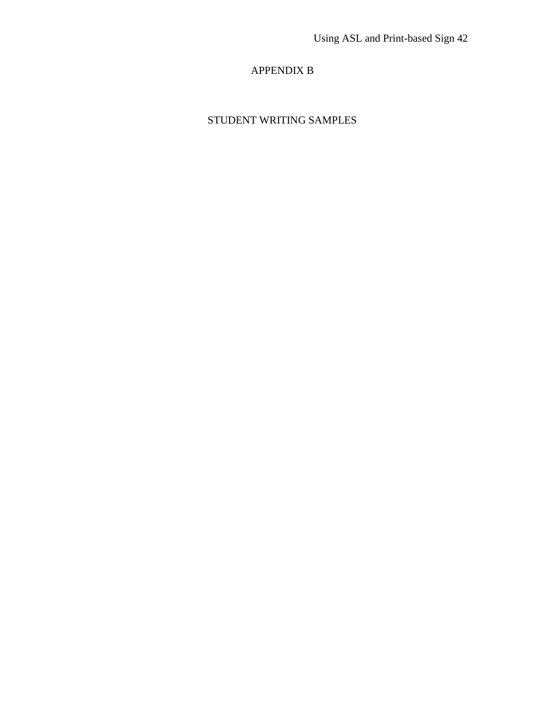### APPENDIX B

# STUDENT WRITING SAMPLES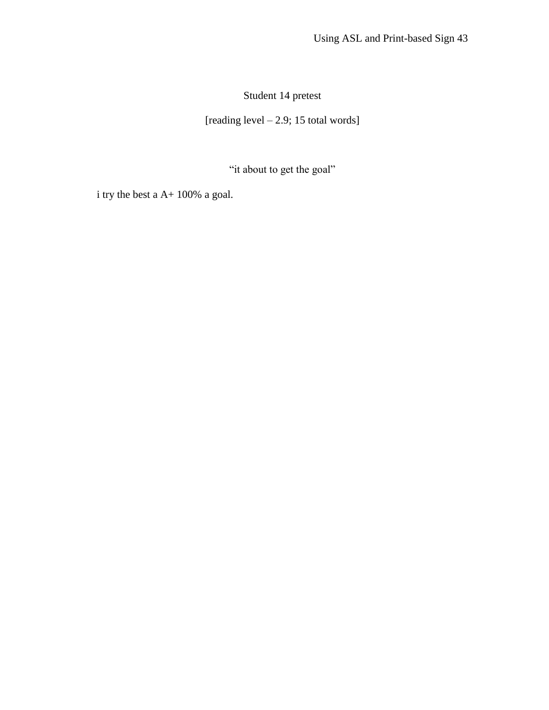Student 14 pretest

[reading level – 2.9; 15 total words]

"it about to get the goal"

i try the best a A+ 100% a goal.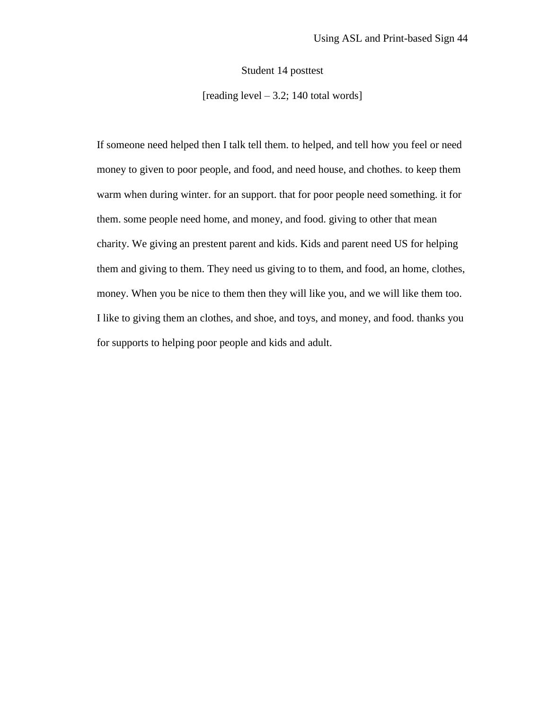Student 14 posttest

[reading level  $-3.2$ ; 140 total words]

If someone need helped then I talk tell them. to helped, and tell how you feel or need money to given to poor people, and food, and need house, and chothes. to keep them warm when during winter. for an support. that for poor people need something. it for them. some people need home, and money, and food. giving to other that mean charity. We giving an prestent parent and kids. Kids and parent need US for helping them and giving to them. They need us giving to to them, and food, an home, clothes, money. When you be nice to them then they will like you, and we will like them too. I like to giving them an clothes, and shoe, and toys, and money, and food. thanks you for supports to helping poor people and kids and adult.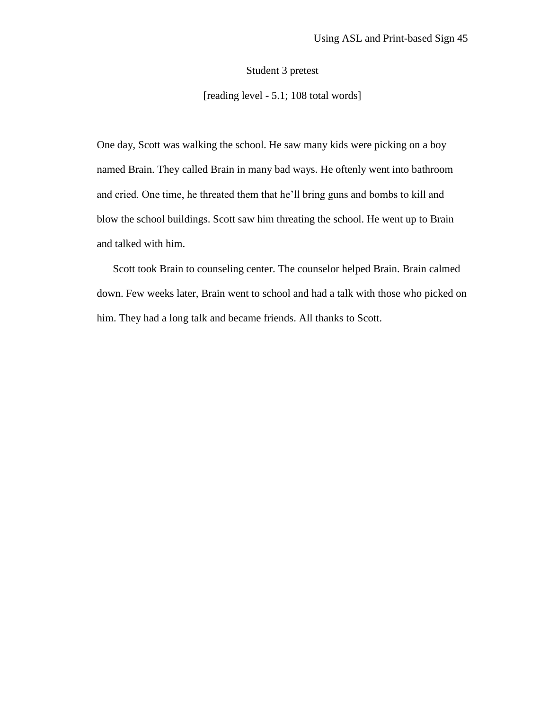Student 3 pretest

[reading level - 5.1; 108 total words]

One day, Scott was walking the school. He saw many kids were picking on a boy named Brain. They called Brain in many bad ways. He oftenly went into bathroom and cried. One time, he threated them that he'll bring guns and bombs to kill and blow the school buildings. Scott saw him threating the school. He went up to Brain and talked with him.

Scott took Brain to counseling center. The counselor helped Brain. Brain calmed down. Few weeks later, Brain went to school and had a talk with those who picked on him. They had a long talk and became friends. All thanks to Scott.